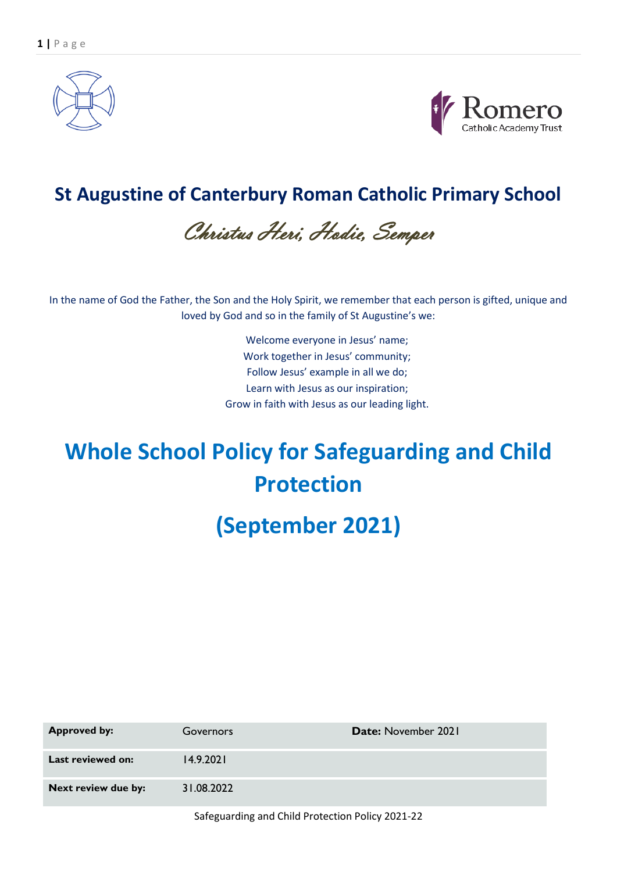



## **St Augustine of Canterbury Roman Catholic Primary School**

Christus Heri, Hodie, Semper

In the name of God the Father, the Son and the Holy Spirit, we remember that each person is gifted, unique and loved by God and so in the family of St Augustine's we:

> Welcome everyone in Jesus' name; Work together in Jesus' community; Follow Jesus' example in all we do; Learn with Jesus as our inspiration; Grow in faith with Jesus as our leading light.

# **Whole School Policy for Safeguarding and Child Protection**

## **(September 2021)**

| <b>Approved by:</b> | Governors  | Date: November 2021 |
|---------------------|------------|---------------------|
| Last reviewed on:   | 14.9.2021  |                     |
| Next review due by: | 31.08.2022 |                     |
|                     |            |                     |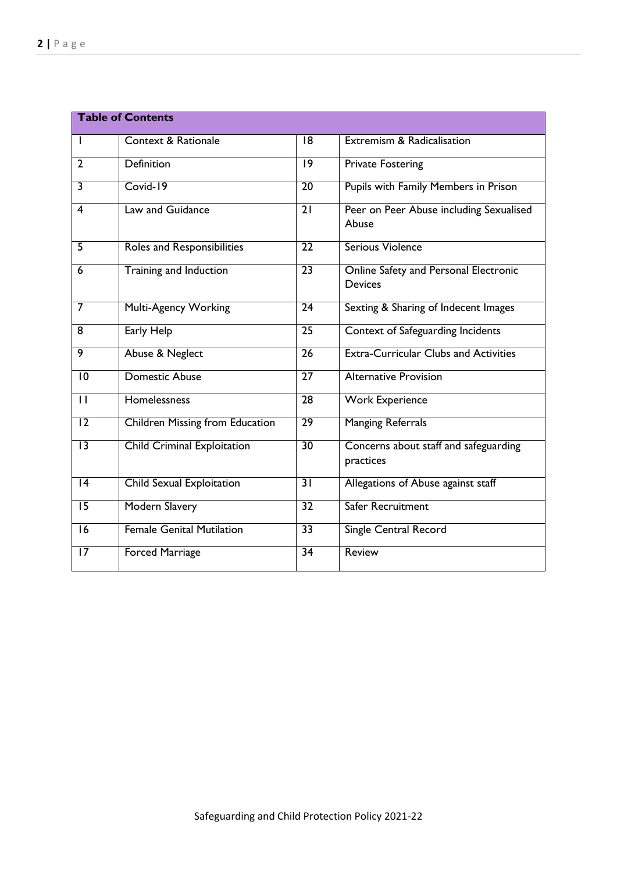| <b>Table of Contents</b> |                                    |                 |                                                         |  |
|--------------------------|------------------------------------|-----------------|---------------------------------------------------------|--|
| I.                       | <b>Context &amp; Rationale</b>     | 18              | Extremism & Radicalisation                              |  |
| $\overline{2}$           | Definition                         | $\overline{19}$ | <b>Private Fostering</b>                                |  |
| $\overline{\mathbf{3}}$  | $Covid-19$                         | $\overline{20}$ | Pupils with Family Members in Prison                    |  |
| 4                        | Law and Guidance                   | $\overline{21}$ | Peer on Peer Abuse including Sexualised<br>Abuse        |  |
| 5                        | Roles and Responsibilities         | $\overline{22}$ | Serious Violence                                        |  |
| 6                        | Training and Induction             | $\overline{23}$ | Online Safety and Personal Electronic<br><b>Devices</b> |  |
| 7                        | <b>Multi-Agency Working</b>        | $\overline{24}$ | Sexting & Sharing of Indecent Images                    |  |
| 8                        | <b>Early Help</b>                  | $\overline{25}$ | Context of Safeguarding Incidents                       |  |
| 9                        | Abuse & Neglect                    | $\overline{26}$ | <b>Extra-Curricular Clubs and Activities</b>            |  |
| $\overline{10}$          | <b>Domestic Abuse</b>              | $\overline{27}$ | <b>Alternative Provision</b>                            |  |
| $\overline{\mathsf{I}}$  | Homelessness                       | $\overline{28}$ | <b>Work Experience</b>                                  |  |
| 12                       | Children Missing from Education    | $\overline{29}$ | <b>Manging Referrals</b>                                |  |
| $\overline{13}$          | <b>Child Criminal Exploitation</b> | 30              | Concerns about staff and safeguarding<br>practices      |  |
| 4                        | <b>Child Sexual Exploitation</b>   | $\overline{31}$ | Allegations of Abuse against staff                      |  |
| $\overline{15}$          | <b>Modern Slavery</b>              | $\overline{32}$ | Safer Recruitment                                       |  |
| 16                       | <b>Female Genital Mutilation</b>   | $\overline{33}$ | Single Central Record                                   |  |
| $\overline{17}$          | <b>Forced Marriage</b>             | $\overline{34}$ | Review                                                  |  |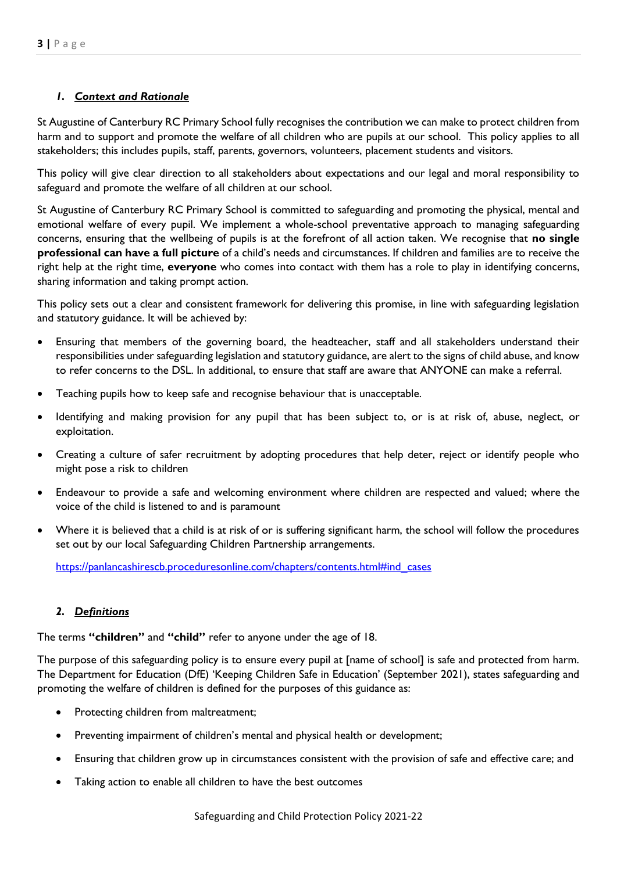## *1. Context and Rationale*

St Augustine of Canterbury RC Primary School fully recognises the contribution we can make to protect children from harm and to support and promote the welfare of all children who are pupils at our school. This policy applies to all stakeholders; this includes pupils, staff, parents, governors, volunteers, placement students and visitors.

This policy will give clear direction to all stakeholders about expectations and our legal and moral responsibility to safeguard and promote the welfare of all children at our school.

St Augustine of Canterbury RC Primary School is committed to safeguarding and promoting the physical, mental and emotional welfare of every pupil. We implement a whole-school preventative approach to managing safeguarding concerns, ensuring that the wellbeing of pupils is at the forefront of all action taken. We recognise that **no single professional can have a full picture** of a child's needs and circumstances. If children and families are to receive the right help at the right time, **everyone** who comes into contact with them has a role to play in identifying concerns, sharing information and taking prompt action.

This policy sets out a clear and consistent framework for delivering this promise, in line with safeguarding legislation and statutory guidance. It will be achieved by:

- Ensuring that members of the governing board, the headteacher, staff and all stakeholders understand their responsibilities under safeguarding legislation and statutory guidance, are alert to the signs of child abuse, and know to refer concerns to the DSL. In additional, to ensure that staff are aware that ANYONE can make a referral.
- Teaching pupils how to keep safe and recognise behaviour that is unacceptable.
- Identifying and making provision for any pupil that has been subject to, or is at risk of, abuse, neglect, or exploitation.
- Creating a culture of safer recruitment by adopting procedures that help deter, reject or identify people who might pose a risk to children
- Endeavour to provide a safe and welcoming environment where children are respected and valued; where the voice of the child is listened to and is paramount
- Where it is believed that a child is at risk of or is suffering significant harm, the school will follow the procedures set out by our local Safeguarding Children Partnership arrangements.

[https://panlancashirescb.proceduresonline.com/chapters/contents.html#ind\\_cases](https://panlancashirescb.proceduresonline.com/chapters/contents.html#ind_cases)

#### *2. Definitions*

The terms **"children"** and **"child"** refer to anyone under the age of 18.

The purpose of this safeguarding policy is to ensure every pupil at [name of school] is safe and protected from harm. The Department for Education (DfE) 'Keeping Children Safe in Education' (September 2021), states safeguarding and promoting the welfare of children is defined for the purposes of this guidance as:

- Protecting children from maltreatment;
- Preventing impairment of children's mental and physical health or development;
- Ensuring that children grow up in circumstances consistent with the provision of safe and effective care; and
- Taking action to enable all children to have the best outcomes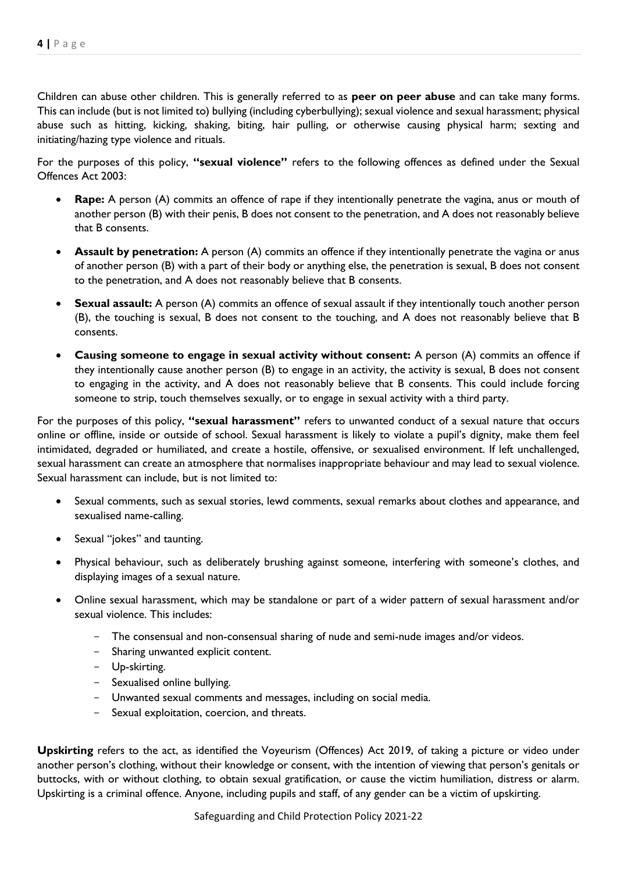Children can abuse other children. This is generally referred to as **peer on peer abuse** and can take many forms. This can include (but is not limited to) bullying (including cyberbullying); sexual violence and sexual harassment; physical abuse such as hitting, kicking, shaking, biting, hair pulling, or otherwise causing physical harm; sexting and initiating/hazing type violence and rituals.

For the purposes of this policy, **"sexual violence"** refers to the following offences as defined under the Sexual Offences Act 2003:

- **Rape:** A person (A) commits an offence of rape if they intentionally penetrate the vagina, anus or mouth of another person (B) with their penis, B does not consent to the penetration, and A does not reasonably believe that B consents.
- **Assault by penetration:** A person (A) commits an offence if they intentionally penetrate the vagina or anus of another person (B) with a part of their body or anything else, the penetration is sexual, B does not consent to the penetration, and A does not reasonably believe that B consents.
- **Sexual assault:** A person (A) commits an offence of sexual assault if they intentionally touch another person (B), the touching is sexual, B does not consent to the touching, and A does not reasonably believe that B consents.
- **Causing someone to engage in sexual activity without consent:** A person (A) commits an offence if they intentionally cause another person (B) to engage in an activity, the activity is sexual, B does not consent to engaging in the activity, and A does not reasonably believe that B consents. This could include forcing someone to strip, touch themselves sexually, or to engage in sexual activity with a third party.

For the purposes of this policy, **"sexual harassment"** refers to unwanted conduct of a sexual nature that occurs online or offline, inside or outside of school. Sexual harassment is likely to violate a pupil's dignity, make them feel intimidated, degraded or humiliated, and create a hostile, offensive, or sexualised environment. If left unchallenged, sexual harassment can create an atmosphere that normalises inappropriate behaviour and may lead to sexual violence. Sexual harassment can include, but is not limited to:

- Sexual comments, such as sexual stories, lewd comments, sexual remarks about clothes and appearance, and sexualised name-calling.
- Sexual "jokes" and taunting.
- Physical behaviour, such as deliberately brushing against someone, interfering with someone's clothes, and displaying images of a sexual nature.
- Online sexual harassment, which may be standalone or part of a wider pattern of sexual harassment and/or sexual violence. This includes:
	- The consensual and non-consensual sharing of nude and semi-nude images and/or videos.
	- Sharing unwanted explicit content.
	- Up-skirting.
	- Sexualised online bullying.
	- Unwanted sexual comments and messages, including on social media.
	- Sexual exploitation, coercion, and threats.

**Upskirting** refers to the act, as identified the Voyeurism (Offences) Act 2019, of taking a picture or video under another person's clothing, without their knowledge or consent, with the intention of viewing that person's genitals or buttocks, with or without clothing, to obtain sexual gratification, or cause the victim humiliation, distress or alarm. Upskirting is a criminal offence. Anyone, including pupils and staff, of any gender can be a victim of upskirting.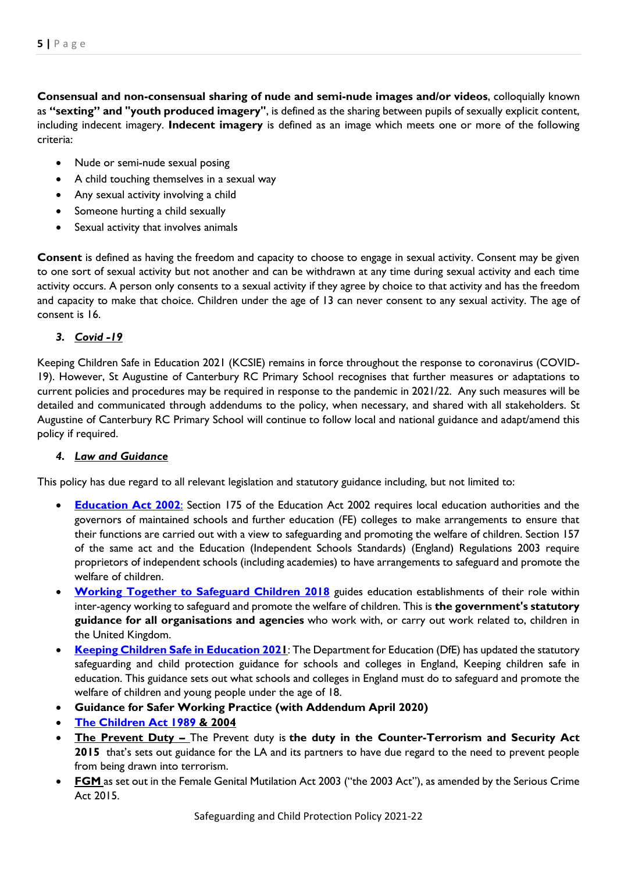**Consensual and non-consensual sharing of nude and semi-nude images and/or videos**, colloquially known as **"sexting" and "youth produced imagery"**, is defined as the sharing between pupils of sexually explicit content, including indecent imagery. **Indecent imagery** is defined as an image which meets one or more of the following criteria:

- Nude or semi-nude sexual posing
- A child touching themselves in a sexual way
- Any sexual activity involving a child
- Someone hurting a child sexually
- Sexual activity that involves animals

**Consent** is defined as having the freedom and capacity to choose to engage in sexual activity. Consent may be given to one sort of sexual activity but not another and can be withdrawn at any time during sexual activity and each time activity occurs. A person only consents to a sexual activity if they agree by choice to that activity and has the freedom and capacity to make that choice. Children under the age of 13 can never consent to any sexual activity. The age of consent is 16.

## *3. Covid -19*

Keeping Children Safe in Education 2021 (KCSIE) remains in force throughout the response to coronavirus (COVID-19). However, St Augustine of Canterbury RC Primary School recognises that further measures or adaptations to current policies and procedures may be required in response to the pandemic in 2021/22. Any such measures will be detailed and communicated through addendums to the policy, when necessary, and shared with all stakeholders. St Augustine of Canterbury RC Primary School will continue to follow local and national guidance and adapt/amend this policy if required.

## *4. Law and Guidance*

This policy has due regard to all relevant legislation and statutory guidance including, but not limited to:

- **[Education Act 2002](http://www.legislation.gov.uk/ukpga/2002/32/contents)**: Section 175 of the Education Act 2002 requires local education authorities and the governors of maintained schools and further education (FE) colleges to make arrangements to ensure that their functions are carried out with a view to safeguarding and promoting the welfare of children. Section 157 of the same act and the Education (Independent Schools Standards) (England) Regulations 2003 require proprietors of independent schools (including academies) to have arrangements to safeguard and promote the welfare of children.
- **[Working Together to Safeguard Children 2018](https://www.gov.uk/government/publications/working-together-to-safeguard-children--2)** guides education establishments of their role within inter-agency working to safeguard and promote the welfare of children. This is **the government's statutory guidance for all organisations and agencies** who work with, or carry out work related to, children in the United Kingdom.
- **[Keeping Children Safe in Education 2021](https://assets.publishing.service.gov.uk/government/uploads/system/uploads/attachment_data/file/892394/Keeping_children_safe_in_education_2020.pdf)**: The Department for Education (DfE) has updated the statutory safeguarding and child protection guidance for schools and colleges in England, Keeping children safe in education. This guidance sets out what schools and colleges in England must do to safeguard and promote the welfare of children and young people under the age of 18.
- **Guidance for Safer Working Practice (with Addendum April 2020)**
- **[The Children Act 1989](http://www.legislation.gov.uk/ukpga/1989/41/contents) & 2004**
- **The Prevent Duty –** The Prevent duty is **the duty in the Counter-Terrorism and Security Act 2015** that's sets out guidance for the LA and its partners to have due regard to the need to prevent people from being drawn into terrorism.
- **FGM** as set out in the Female Genital Mutilation Act 2003 ("the 2003 Act"), as amended by the Serious Crime Act 2015.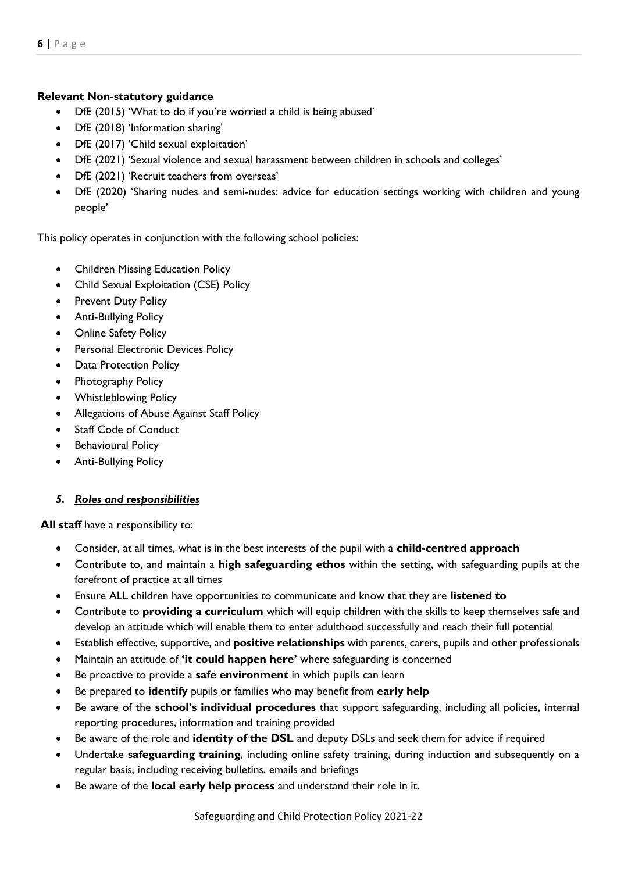## **Relevant Non-statutory guidance**

- DfE (2015) 'What to do if you're worried a child is being abused'
- DfE (2018) 'Information sharing'
- DfE (2017) 'Child sexual exploitation'
- DfE (2021) 'Sexual violence and sexual harassment between children in schools and colleges'
- DfE (2021) 'Recruit teachers from overseas'
- DfE (2020) 'Sharing nudes and semi-nudes: advice for education settings working with children and young people'

This policy operates in conjunction with the following school policies:

- Children Missing Education Policy
- Child Sexual Exploitation (CSE) Policy
- Prevent Duty Policy
- Anti-Bullying Policy
- Online Safety Policy
- Personal Electronic Devices Policy
- Data Protection Policy
- Photography Policy
- Whistleblowing Policy
- Allegations of Abuse Against Staff Policy
- Staff Code of Conduct
- **•** Behavioural Policy
- Anti-Bullying Policy

## *5. Roles and responsibilities*

**All staff** have a responsibility to:

- Consider, at all times, what is in the best interests of the pupil with a **child-centred approach**
- Contribute to, and maintain a **high safeguarding ethos** within the setting, with safeguarding pupils at the forefront of practice at all times
- Ensure ALL children have opportunities to communicate and know that they are **listened to**
- Contribute to **providing a curriculum** which will equip children with the skills to keep themselves safe and develop an attitude which will enable them to enter adulthood successfully and reach their full potential
- Establish effective, supportive, and **positive relationships** with parents, carers, pupils and other professionals
- Maintain an attitude of **'it could happen here'** where safeguarding is concerned
- Be proactive to provide a **safe environment** in which pupils can learn
- Be prepared to **identify** pupils or families who may benefit from **early help**
- Be aware of the **school's individual procedures** that support safeguarding, including all policies, internal reporting procedures, information and training provided
- Be aware of the role and **identity of the DSL** and deputy DSLs and seek them for advice if required
- Undertake **safeguarding training**, including online safety training, during induction and subsequently on a regular basis, including receiving bulletins, emails and briefings
- Be aware of the **local early help process** and understand their role in it.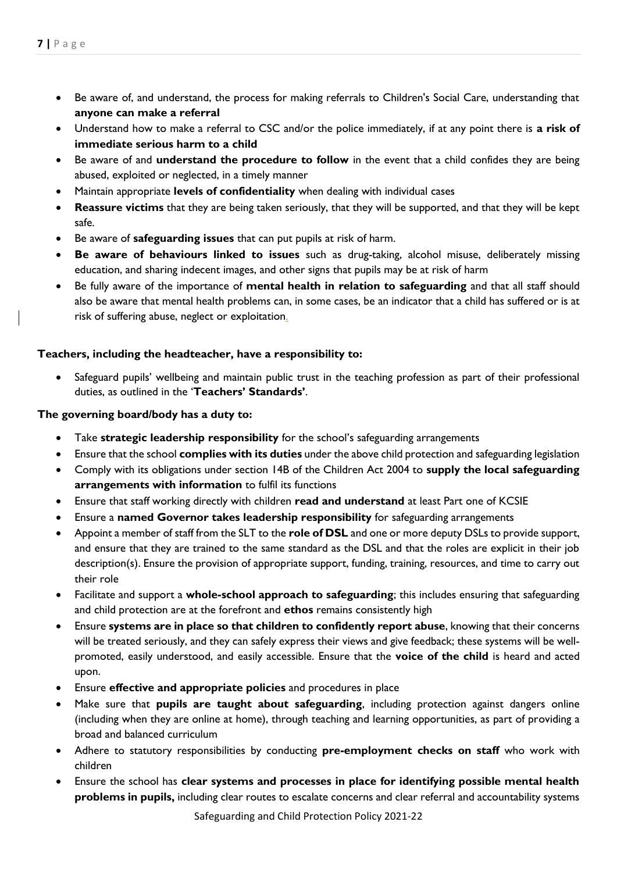- Be aware of, and understand, the process for making referrals to Children's Social Care, understanding that **anyone can make a referral**
- Understand how to make a referral to CSC and/or the police immediately, if at any point there is **a risk of immediate serious harm to a child**
- Be aware of and **understand the procedure to follow** in the event that a child confides they are being abused, exploited or neglected, in a timely manner
- Maintain appropriate **levels of confidentiality** when dealing with individual cases
- **Reassure victims** that they are being taken seriously, that they will be supported, and that they will be kept safe.
- Be aware of **safeguarding issues** that can put pupils at risk of harm.
- **Be aware of behaviours linked to issues** such as drug-taking, alcohol misuse, deliberately missing education, and sharing indecent images, and other signs that pupils may be at risk of harm
- Be fully aware of the importance of **mental health in relation to safeguarding** and that all staff should also be aware that mental health problems can, in some cases, be an indicator that a child has suffered or is at risk of suffering abuse, neglect or exploitation.

## **Teachers, including the headteacher, have a responsibility to:**

 Safeguard pupils' wellbeing and maintain public trust in the teaching profession as part of their professional duties, as outlined in the '**Teachers' Standards'**.

## **The governing board/body has a duty to:**

- Take **strategic leadership responsibility** for the school's safeguarding arrangements
- Ensure that the school **complies with its duties** under the above child protection and safeguarding legislation
- Comply with its obligations under section 14B of the Children Act 2004 to **supply the local safeguarding arrangements with information** to fulfil its functions
- Ensure that staff working directly with children **read and understand** at least Part one of KCSIE
- Ensure a **named Governor takes leadership responsibility** for safeguarding arrangements
- Appoint a member of staff from the SLT to the **role of DSL** and one or more deputy DSLs to provide support, and ensure that they are trained to the same standard as the DSL and that the roles are explicit in their job description(s). Ensure the provision of appropriate support, funding, training, resources, and time to carry out their role
- Facilitate and support a **whole-school approach to safeguarding**; this includes ensuring that safeguarding and child protection are at the forefront and **ethos** remains consistently high
- Ensure **systems are in place so that children to confidently report abuse**, knowing that their concerns will be treated seriously, and they can safely express their views and give feedback; these systems will be wellpromoted, easily understood, and easily accessible. Ensure that the **voice of the child** is heard and acted upon.
- Ensure **effective and appropriate policies** and procedures in place
- Make sure that **pupils are taught about safeguarding**, including protection against dangers online (including when they are online at home), through teaching and learning opportunities, as part of providing a broad and balanced curriculum
- Adhere to statutory responsibilities by conducting **pre-employment checks on staff** who work with children
- Ensure the school has **clear systems and processes in place for identifying possible mental health problems in pupils,** including clear routes to escalate concerns and clear referral and accountability systems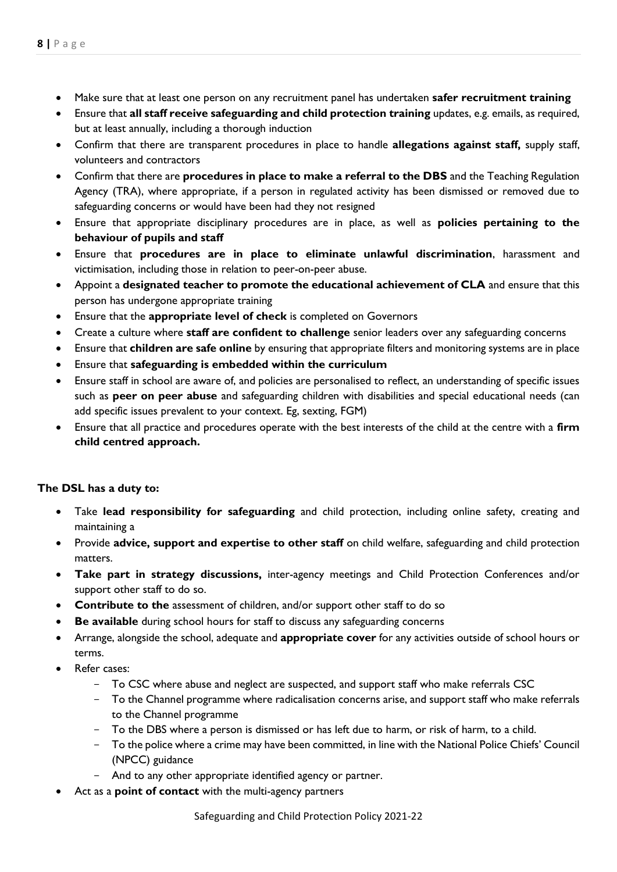- Make sure that at least one person on any recruitment panel has undertaken **safer recruitment training**
- Ensure that **all staff receive safeguarding and child protection training** updates, e.g. emails, as required, but at least annually, including a thorough induction
- Confirm that there are transparent procedures in place to handle **allegations against staff,** supply staff, volunteers and contractors
- Confirm that there are **procedures in place to make a referral to the DBS** and the Teaching Regulation Agency (TRA), where appropriate, if a person in regulated activity has been dismissed or removed due to safeguarding concerns or would have been had they not resigned
- Ensure that appropriate disciplinary procedures are in place, as well as **policies pertaining to the behaviour of pupils and staff**
- Ensure that **procedures are in place to eliminate unlawful discrimination**, harassment and victimisation, including those in relation to peer-on-peer abuse.
- Appoint a **designated teacher to promote the educational achievement of CLA** and ensure that this person has undergone appropriate training
- Ensure that the **appropriate level of check** is completed on Governors
- Create a culture where **staff are confident to challenge** senior leaders over any safeguarding concerns
- Ensure that **children are safe online** by ensuring that appropriate filters and monitoring systems are in place
- Ensure that **safeguarding is embedded within the curriculum**
- Ensure staff in school are aware of, and policies are personalised to reflect, an understanding of specific issues such as **peer on peer abuse** and safeguarding children with disabilities and special educational needs (can add specific issues prevalent to your context. Eg, sexting, FGM)
- Ensure that all practice and procedures operate with the best interests of the child at the centre with a **firm child centred approach.**

#### **The DSL has a duty to:**

- Take **lead responsibility for safeguarding** and child protection, including online safety, creating and maintaining a
- Provide **advice, support and expertise to other staff** on child welfare, safeguarding and child protection matters.
- **Take part in strategy discussions,** inter-agency meetings and Child Protection Conferences and/or support other staff to do so.
- **Contribute to the** assessment of children, and/or support other staff to do so
- **Be available** during school hours for staff to discuss any safeguarding concerns
- Arrange, alongside the school, adequate and **appropriate cover** for any activities outside of school hours or terms.
- Refer cases:
	- To CSC where abuse and neglect are suspected, and support staff who make referrals CSC
	- To the Channel programme where radicalisation concerns arise, and support staff who make referrals to the Channel programme
	- To the DBS where a person is dismissed or has left due to harm, or risk of harm, to a child.
	- To the police where a crime may have been committed, in line with the National Police Chiefs' Council (NPCC) guidance
	- And to any other appropriate identified agency or partner.
- Act as a **point of contact** with the multi-agency partners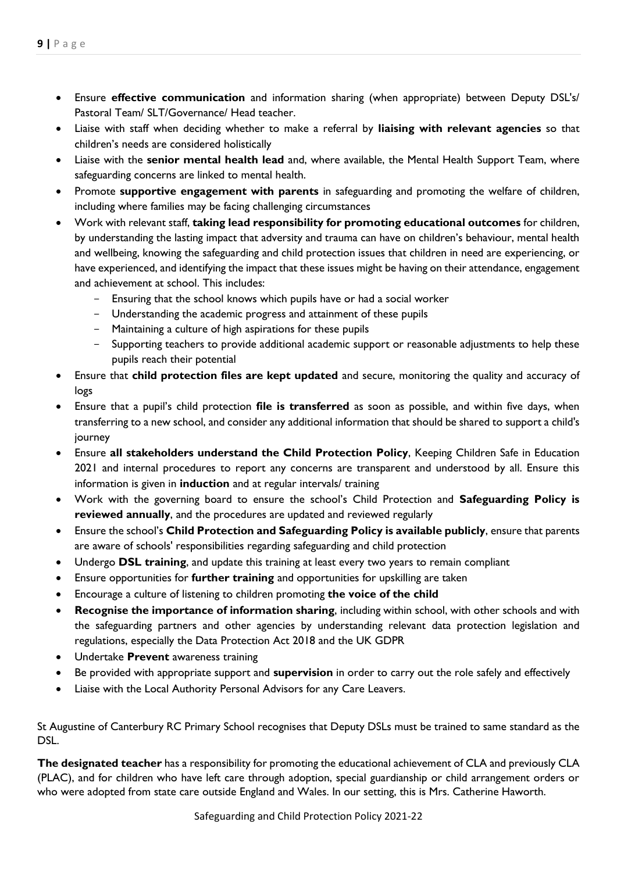- Ensure **effective communication** and information sharing (when appropriate) between Deputy DSL's/ Pastoral Team/ SLT/Governance/ Head teacher.
- Liaise with staff when deciding whether to make a referral by **liaising with relevant agencies** so that children's needs are considered holistically
- Liaise with the **senior mental health lead** and, where available, the Mental Health Support Team, where safeguarding concerns are linked to mental health.
- Promote **supportive engagement with parents** in safeguarding and promoting the welfare of children, including where families may be facing challenging circumstances
- Work with relevant staff, **taking lead responsibility for promoting educational outcomes** for children, by understanding the lasting impact that adversity and trauma can have on children's behaviour, mental health and wellbeing, knowing the safeguarding and child protection issues that children in need are experiencing, or have experienced, and identifying the impact that these issues might be having on their attendance, engagement and achievement at school. This includes:
	- Ensuring that the school knows which pupils have or had a social worker
	- Understanding the academic progress and attainment of these pupils
	- Maintaining a culture of high aspirations for these pupils
	- Supporting teachers to provide additional academic support or reasonable adjustments to help these pupils reach their potential
- Ensure that **child protection files are kept updated** and secure, monitoring the quality and accuracy of logs
- Ensure that a pupil's child protection **file is transferred** as soon as possible, and within five days, when transferring to a new school, and consider any additional information that should be shared to support a child's journey
- Ensure **all stakeholders understand the Child Protection Policy**, Keeping Children Safe in Education 2021 and internal procedures to report any concerns are transparent and understood by all. Ensure this information is given in **induction** and at regular intervals/ training
- Work with the governing board to ensure the school's Child Protection and **Safeguarding Policy is reviewed annually**, and the procedures are updated and reviewed regularly
- Ensure the school's **Child Protection and Safeguarding Policy is available publicly**, ensure that parents are aware of schools' responsibilities regarding safeguarding and child protection
- Undergo **DSL training**, and update this training at least every two years to remain compliant
- Ensure opportunities for **further training** and opportunities for upskilling are taken
- Encourage a culture of listening to children promoting **the voice of the child**
- **Recognise the importance of information sharing**, including within school, with other schools and with the safeguarding partners and other agencies by understanding relevant data protection legislation and regulations, especially the Data Protection Act 2018 and the UK GDPR
- Undertake **Prevent** awareness training
- Be provided with appropriate support and **supervision** in order to carry out the role safely and effectively
- Liaise with the Local Authority Personal Advisors for any Care Leavers.

St Augustine of Canterbury RC Primary School recognises that Deputy DSLs must be trained to same standard as the DSL.

**The designated teacher** has a responsibility for promoting the educational achievement of CLA and previously CLA (PLAC), and for children who have left care through adoption, special guardianship or child arrangement orders or who were adopted from state care outside England and Wales. In our setting, this is Mrs. Catherine Haworth.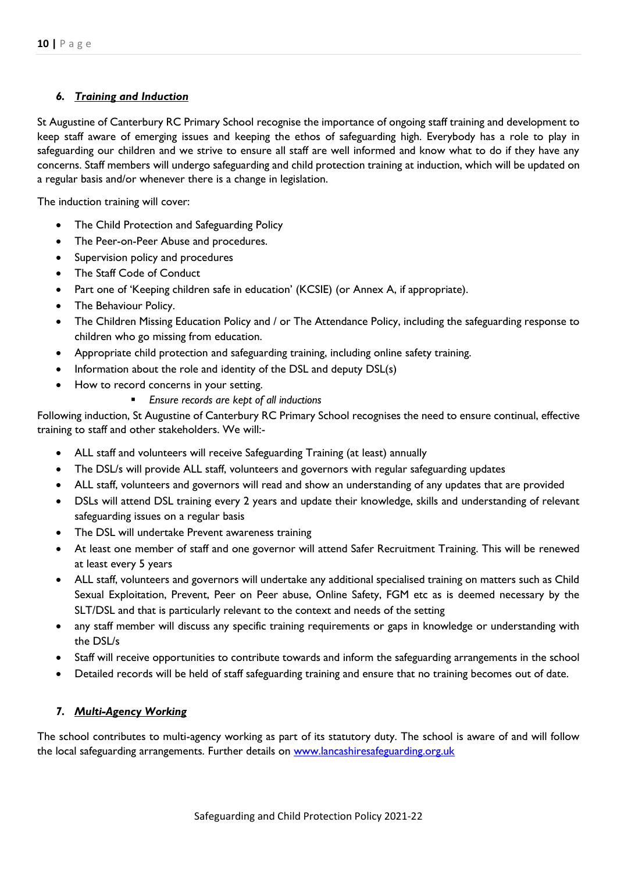## *6. Training and Induction*

St Augustine of Canterbury RC Primary School recognise the importance of ongoing staff training and development to keep staff aware of emerging issues and keeping the ethos of safeguarding high. Everybody has a role to play in safeguarding our children and we strive to ensure all staff are well informed and know what to do if they have any concerns. Staff members will undergo safeguarding and child protection training at induction, which will be updated on a regular basis and/or whenever there is a change in legislation.

The induction training will cover:

- The Child Protection and Safeguarding Policy
- The Peer-on-Peer Abuse and procedures.
- Supervision policy and procedures
- The Staff Code of Conduct
- Part one of 'Keeping children safe in education' (KCSIE) (or Annex A, if appropriate).
- The Behaviour Policy.
- The Children Missing Education Policy and / or The Attendance Policy, including the safeguarding response to children who go missing from education.
- Appropriate child protection and safeguarding training, including online safety training.
- Information about the role and identity of the DSL and deputy DSL(s)
- How to record concerns in your setting.
	- *Ensure records are kept of all inductions*

Following induction, St Augustine of Canterbury RC Primary School recognises the need to ensure continual, effective training to staff and other stakeholders. We will:-

- ALL staff and volunteers will receive Safeguarding Training (at least) annually
- The DSL/s will provide ALL staff, volunteers and governors with regular safeguarding updates
- ALL staff, volunteers and governors will read and show an understanding of any updates that are provided
- DSLs will attend DSL training every 2 years and update their knowledge, skills and understanding of relevant safeguarding issues on a regular basis
- The DSL will undertake Prevent awareness training
- At least one member of staff and one governor will attend Safer Recruitment Training. This will be renewed at least every 5 years
- ALL staff, volunteers and governors will undertake any additional specialised training on matters such as Child Sexual Exploitation, Prevent, Peer on Peer abuse, Online Safety, FGM etc as is deemed necessary by the SLT/DSL and that is particularly relevant to the context and needs of the setting
- any staff member will discuss any specific training requirements or gaps in knowledge or understanding with the DSL/s
- Staff will receive opportunities to contribute towards and inform the safeguarding arrangements in the school
- Detailed records will be held of staff safeguarding training and ensure that no training becomes out of date.

## *7. Multi-Agency Working*

The school contributes to multi-agency working as part of its statutory duty. The school is aware of and will follow the local safeguarding arrangements. Further details on [www.lancashiresafeguarding.org.uk](http://www.lancashiresafeguarding.org.uk/)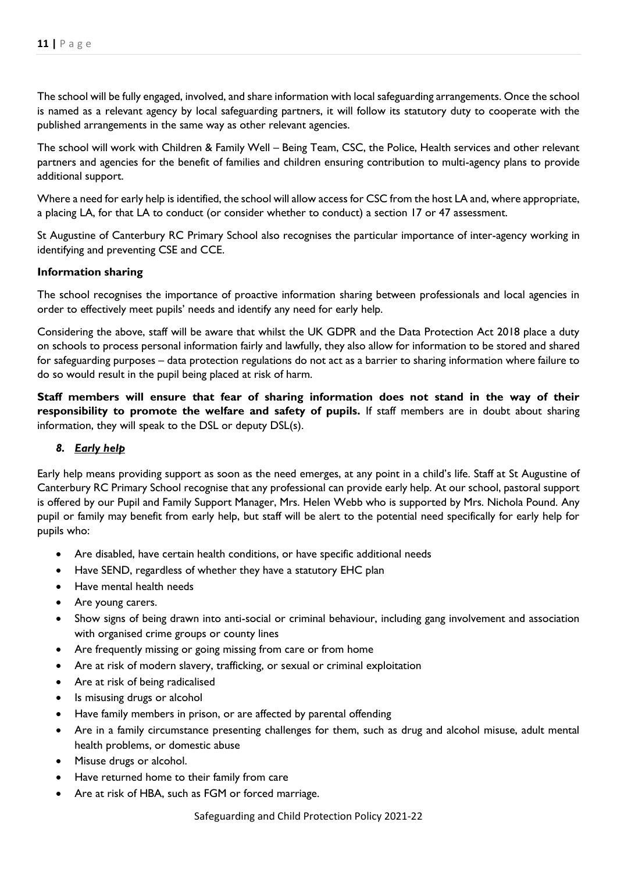The school will be fully engaged, involved, and share information with local safeguarding arrangements. Once the school is named as a relevant agency by local safeguarding partners, it will follow its statutory duty to cooperate with the published arrangements in the same way as other relevant agencies.

The school will work with Children & Family Well – Being Team, CSC, the Police, Health services and other relevant partners and agencies for the benefit of families and children ensuring contribution to multi-agency plans to provide additional support.

Where a need for early help is identified, the school will allow access for CSC from the host LA and, where appropriate, a placing LA, for that LA to conduct (or consider whether to conduct) a section 17 or 47 assessment.

St Augustine of Canterbury RC Primary School also recognises the particular importance of inter-agency working in identifying and preventing CSE and CCE.

## **Information sharing**

The school recognises the importance of proactive information sharing between professionals and local agencies in order to effectively meet pupils' needs and identify any need for early help.

Considering the above, staff will be aware that whilst the UK GDPR and the Data Protection Act 2018 place a duty on schools to process personal information fairly and lawfully, they also allow for information to be stored and shared for safeguarding purposes – data protection regulations do not act as a barrier to sharing information where failure to do so would result in the pupil being placed at risk of harm.

**Staff members will ensure that fear of sharing information does not stand in the way of their responsibility to promote the welfare and safety of pupils.** If staff members are in doubt about sharing information, they will speak to the DSL or deputy DSL(s).

## *8. Early help*

Early help means providing support as soon as the need emerges, at any point in a child's life. Staff at St Augustine of Canterbury RC Primary School recognise that any professional can provide early help. At our school, pastoral support is offered by our Pupil and Family Support Manager, Mrs. Helen Webb who is supported by Mrs. Nichola Pound. Any pupil or family may benefit from early help, but staff will be alert to the potential need specifically for early help for pupils who:

- Are disabled, have certain health conditions, or have specific additional needs
- Have SEND, regardless of whether they have a statutory EHC plan
- Have mental health needs
- Are young carers.
- Show signs of being drawn into anti-social or criminal behaviour, including gang involvement and association with organised crime groups or county lines
- Are frequently missing or going missing from care or from home
- Are at risk of modern slavery, trafficking, or sexual or criminal exploitation
- Are at risk of being radicalised
- Is misusing drugs or alcohol
- Have family members in prison, or are affected by parental offending
- Are in a family circumstance presenting challenges for them, such as drug and alcohol misuse, adult mental health problems, or domestic abuse
- Misuse drugs or alcohol.
- Have returned home to their family from care
- Are at risk of HBA, such as FGM or forced marriage.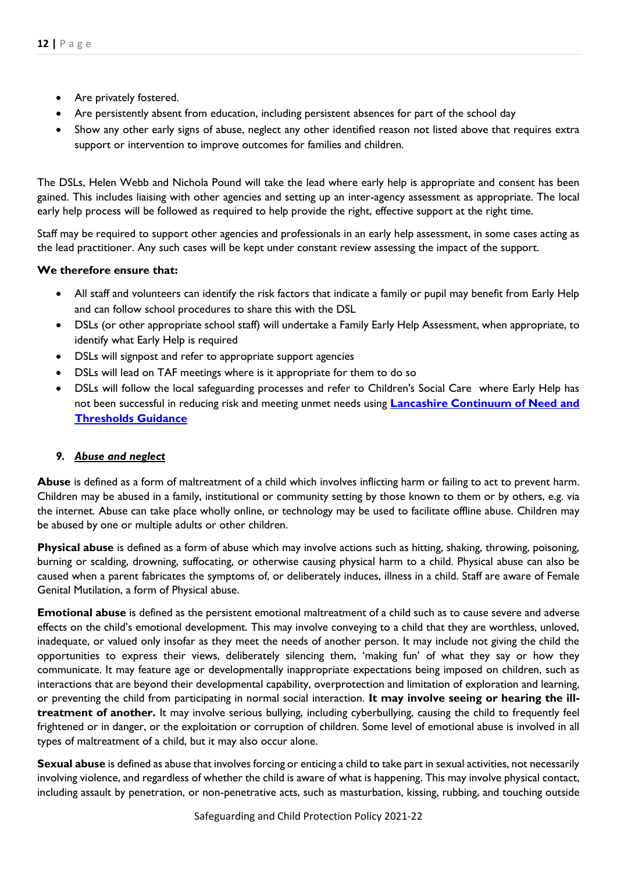- Are privately fostered.
- Are persistently absent from education, including persistent absences for part of the school day
- Show any other early signs of abuse, neglect any other identified reason not listed above that requires extra support or intervention to improve outcomes for families and children.

The DSLs, Helen Webb and Nichola Pound will take the lead where early help is appropriate and consent has been gained. This includes liaising with other agencies and setting up an inter-agency assessment as appropriate. The local early help process will be followed as required to help provide the right, effective support at the right time.

Staff may be required to support other agencies and professionals in an early help assessment, in some cases acting as the lead practitioner. Any such cases will be kept under constant review assessing the impact of the support.

## **We therefore ensure that:**

- All staff and volunteers can identify the risk factors that indicate a family or pupil may benefit from Early Help and can follow school procedures to share this with the DSL
- DSLs (or other appropriate school staff) will undertake a Family Early Help Assessment, when appropriate, to identify what Early Help is required
- DSLs will signpost and refer to appropriate support agencies
- DSLs will lead on TAF meetings where is it appropriate for them to do so
- DSLs will follow the local safeguarding processes and refer to Children's Social Care where Early Help has not been successful in reducing risk and meeting unmet needs using **[Lancashire Continuum of Need and](http://www.lancashiresafeguarding.org.uk/resources/assessment-and-referral.aspx)  [Thresholds Guidance](http://www.lancashiresafeguarding.org.uk/resources/assessment-and-referral.aspx)**

#### *9. Abuse and neglect*

**Abuse** is defined as a form of maltreatment of a child which involves inflicting harm or failing to act to prevent harm. Children may be abused in a family, institutional or community setting by those known to them or by others, e.g. via the internet. Abuse can take place wholly online, or technology may be used to facilitate offline abuse. Children may be abused by one or multiple adults or other children.

**Physical abuse** is defined as a form of abuse which may involve actions such as hitting, shaking, throwing, poisoning, burning or scalding, drowning, suffocating, or otherwise causing physical harm to a child. Physical abuse can also be caused when a parent fabricates the symptoms of, or deliberately induces, illness in a child. Staff are aware of Female Genital Mutilation, a form of Physical abuse.

**Emotional abuse** is defined as the persistent emotional maltreatment of a child such as to cause severe and adverse effects on the child's emotional development. This may involve conveying to a child that they are worthless, unloved, inadequate, or valued only insofar as they meet the needs of another person. It may include not giving the child the opportunities to express their views, deliberately silencing them, 'making fun' of what they say or how they communicate. It may feature age or developmentally inappropriate expectations being imposed on children, such as interactions that are beyond their developmental capability, overprotection and limitation of exploration and learning, or preventing the child from participating in normal social interaction. **It may involve seeing or hearing the illtreatment of another.** It may involve serious bullying, including cyberbullying, causing the child to frequently feel frightened or in danger, or the exploitation or corruption of children. Some level of emotional abuse is involved in all types of maltreatment of a child, but it may also occur alone.

**Sexual abuse** is defined as abuse that involves forcing or enticing a child to take part in sexual activities, not necessarily involving violence, and regardless of whether the child is aware of what is happening. This may involve physical contact, including assault by penetration, or non-penetrative acts, such as masturbation, kissing, rubbing, and touching outside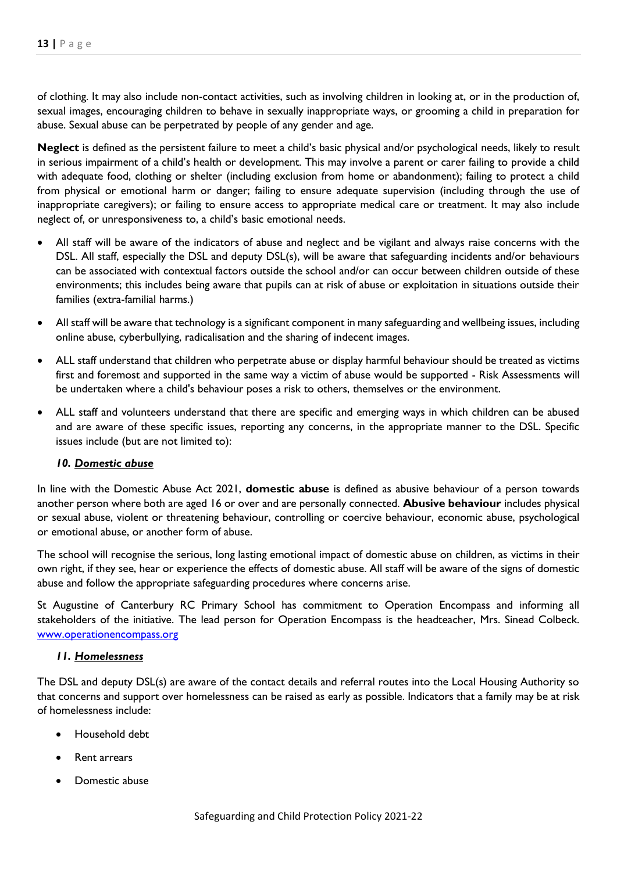of clothing. It may also include non-contact activities, such as involving children in looking at, or in the production of, sexual images, encouraging children to behave in sexually inappropriate ways, or grooming a child in preparation for abuse. Sexual abuse can be perpetrated by people of any gender and age.

**Neglect** is defined as the persistent failure to meet a child's basic physical and/or psychological needs, likely to result in serious impairment of a child's health or development. This may involve a parent or carer failing to provide a child with adequate food, clothing or shelter (including exclusion from home or abandonment); failing to protect a child from physical or emotional harm or danger; failing to ensure adequate supervision (including through the use of inappropriate caregivers); or failing to ensure access to appropriate medical care or treatment. It may also include neglect of, or unresponsiveness to, a child's basic emotional needs.

- All staff will be aware of the indicators of abuse and neglect and be vigilant and always raise concerns with the DSL. All staff, especially the DSL and deputy DSL(s), will be aware that safeguarding incidents and/or behaviours can be associated with contextual factors outside the school and/or can occur between children outside of these environments; this includes being aware that pupils can at risk of abuse or exploitation in situations outside their families (extra-familial harms.)
- All staff will be aware that technology is a significant component in many safeguarding and wellbeing issues, including online abuse, cyberbullying, radicalisation and the sharing of indecent images.
- ALL staff understand that children who perpetrate abuse or display harmful behaviour should be treated as victims first and foremost and supported in the same way a victim of abuse would be supported - Risk Assessments will be undertaken where a child's behaviour poses a risk to others, themselves or the environment.
- ALL staff and volunteers understand that there are specific and emerging ways in which children can be abused and are aware of these specific issues, reporting any concerns, in the appropriate manner to the DSL. Specific issues include (but are not limited to):

#### *10. Domestic abuse*

In line with the Domestic Abuse Act 2021, **domestic abuse** is defined as abusive behaviour of a person towards another person where both are aged 16 or over and are personally connected. **Abusive behaviour** includes physical or sexual abuse, violent or threatening behaviour, controlling or coercive behaviour, economic abuse, psychological or emotional abuse, or another form of abuse.

The school will recognise the serious, long lasting emotional impact of domestic abuse on children, as victims in their own right, if they see, hear or experience the effects of domestic abuse. All staff will be aware of the signs of domestic abuse and follow the appropriate safeguarding procedures where concerns arise.

St Augustine of Canterbury RC Primary School has commitment to Operation Encompass and informing all stakeholders of the initiative. The lead person for Operation Encompass is the headteacher, Mrs. Sinead Colbeck. [www.operationencompass.org](http://www.operationencompass.org/)

#### *11. Homelessness*

The DSL and deputy DSL(s) are aware of the contact details and referral routes into the Local Housing Authority so that concerns and support over homelessness can be raised as early as possible. Indicators that a family may be at risk of homelessness include:

- Household debt
- Rent arrears
- Domestic abuse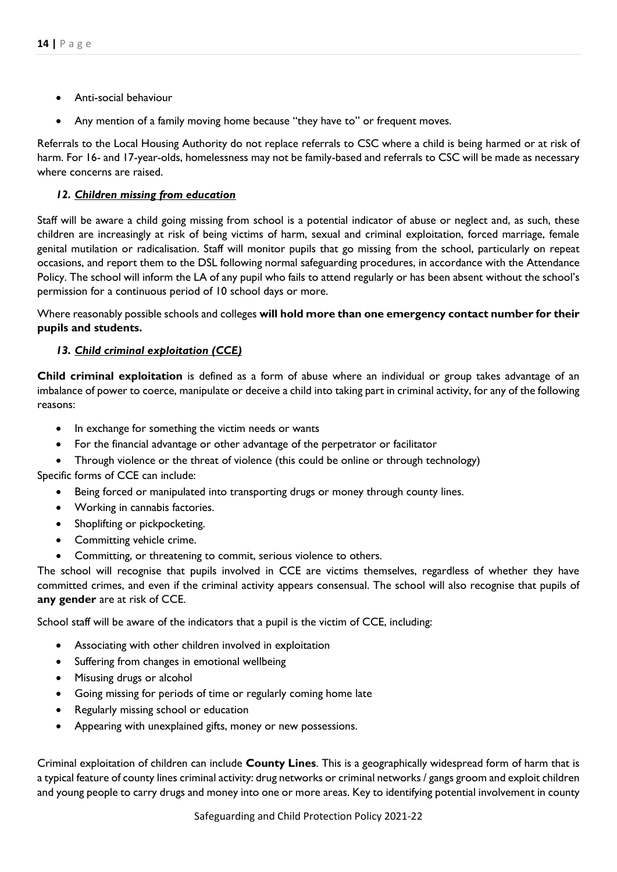- Anti-social behaviour
- Any mention of a family moving home because "they have to" or frequent moves.

Referrals to the Local Housing Authority do not replace referrals to CSC where a child is being harmed or at risk of harm. For 16- and 17-year-olds, homelessness may not be family-based and referrals to CSC will be made as necessary where concerns are raised.

## *12. Children missing from education*

Staff will be aware a child going missing from school is a potential indicator of abuse or neglect and, as such, these children are increasingly at risk of being victims of harm, sexual and criminal exploitation, forced marriage, female genital mutilation or radicalisation. Staff will monitor pupils that go missing from the school, particularly on repeat occasions, and report them to the DSL following normal safeguarding procedures, in accordance with the Attendance Policy. The school will inform the LA of any pupil who fails to attend regularly or has been absent without the school's permission for a continuous period of 10 school days or more.

Where reasonably possible schools and colleges **will hold more than one emergency contact number for their pupils and students.** 

## *13. Child criminal exploitation (CCE)*

**Child criminal exploitation** is defined as a form of abuse where an individual or group takes advantage of an imbalance of power to coerce, manipulate or deceive a child into taking part in criminal activity, for any of the following reasons:

- In exchange for something the victim needs or wants
- For the financial advantage or other advantage of the perpetrator or facilitator
- Through violence or the threat of violence (this could be online or through technology)

Specific forms of CCE can include:

- Being forced or manipulated into transporting drugs or money through county lines.
- Working in cannabis factories.
- Shoplifting or pickpocketing.
- Committing vehicle crime.
- Committing, or threatening to commit, serious violence to others.

The school will recognise that pupils involved in CCE are victims themselves, regardless of whether they have committed crimes, and even if the criminal activity appears consensual. The school will also recognise that pupils of **any gender** are at risk of CCE.

School staff will be aware of the indicators that a pupil is the victim of CCE, including:

- Associating with other children involved in exploitation
- Suffering from changes in emotional wellbeing
- Misusing drugs or alcohol
- Going missing for periods of time or regularly coming home late
- Regularly missing school or education
- Appearing with unexplained gifts, money or new possessions.

Criminal exploitation of children can include **County Lines**. This is a geographically widespread form of harm that is a typical feature of county lines criminal activity: drug networks or criminal networks / gangs groom and exploit children and young people to carry drugs and money into one or more areas. Key to identifying potential involvement in county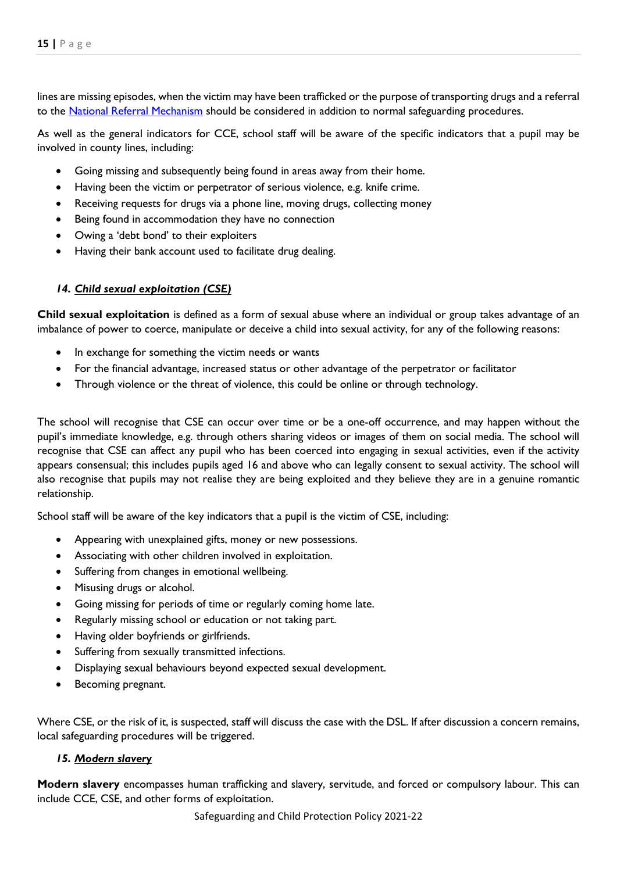lines are missing episodes, when the victim may have been trafficked or the purpose of transporting drugs and a referral to the [National Referral Mechanism](https://www.gov.uk/government/publications/human-trafficking-victims-referral-and-assessment-forms/guidance-on-the-national-referral-mechanism-for-potential-adult-victims-of-modern-slavery-england-and-wales#what-the-national-referral-mechanism-is) should be considered in addition to normal safeguarding procedures.

As well as the general indicators for CCE, school staff will be aware of the specific indicators that a pupil may be involved in county lines, including:

- Going missing and subsequently being found in areas away from their home.
- Having been the victim or perpetrator of serious violence, e.g. knife crime.
- Receiving requests for drugs via a phone line, moving drugs, collecting money
- Being found in accommodation they have no connection
- Owing a 'debt bond' to their exploiters
- Having their bank account used to facilitate drug dealing.

## *14. Child sexual exploitation (CSE)*

**Child sexual exploitation** is defined as a form of sexual abuse where an individual or group takes advantage of an imbalance of power to coerce, manipulate or deceive a child into sexual activity, for any of the following reasons:

- In exchange for something the victim needs or wants
- For the financial advantage, increased status or other advantage of the perpetrator or facilitator
- Through violence or the threat of violence, this could be online or through technology.

The school will recognise that CSE can occur over time or be a one-off occurrence, and may happen without the pupil's immediate knowledge, e.g. through others sharing videos or images of them on social media. The school will recognise that CSE can affect any pupil who has been coerced into engaging in sexual activities, even if the activity appears consensual; this includes pupils aged 16 and above who can legally consent to sexual activity. The school will also recognise that pupils may not realise they are being exploited and they believe they are in a genuine romantic relationship.

School staff will be aware of the key indicators that a pupil is the victim of CSE, including:

- Appearing with unexplained gifts, money or new possessions.
- Associating with other children involved in exploitation.
- Suffering from changes in emotional wellbeing.
- Misusing drugs or alcohol.
- Going missing for periods of time or regularly coming home late.
- Regularly missing school or education or not taking part.
- Having older boyfriends or girlfriends.
- Suffering from sexually transmitted infections.
- Displaying sexual behaviours beyond expected sexual development.
- Becoming pregnant.

Where CSE, or the risk of it, is suspected, staff will discuss the case with the DSL. If after discussion a concern remains, local safeguarding procedures will be triggered.

#### *15. Modern slavery*

**Modern slavery** encompasses human trafficking and slavery, servitude, and forced or compulsory labour. This can include CCE, CSE, and other forms of exploitation.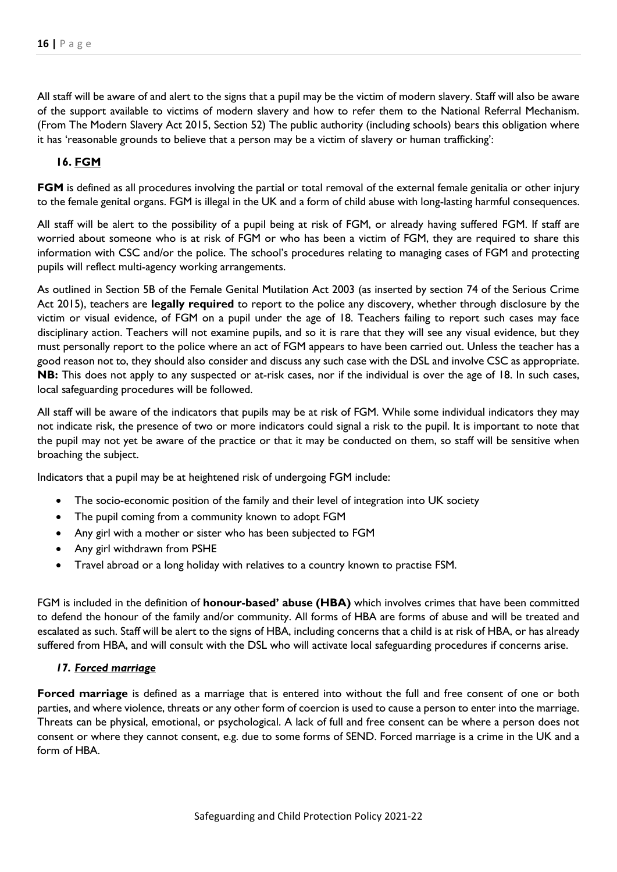All staff will be aware of and alert to the signs that a pupil may be the victim of modern slavery. Staff will also be aware of the support available to victims of modern slavery and how to refer them to the National Referral Mechanism. (From The Modern Slavery Act 2015, Section 52) The public authority (including schools) bears this obligation where it has 'reasonable grounds to believe that a person may be a victim of slavery or human trafficking':

## **16. FGM**

**FGM** is defined as all procedures involving the partial or total removal of the external female genitalia or other injury to the female genital organs. FGM is illegal in the UK and a form of child abuse with long-lasting harmful consequences.

All staff will be alert to the possibility of a pupil being at risk of FGM, or already having suffered FGM. If staff are worried about someone who is at risk of FGM or who has been a victim of FGM, they are required to share this information with CSC and/or the police. The school's procedures relating to managing cases of FGM and protecting pupils will reflect multi-agency working arrangements.

As outlined in Section 5B of the Female Genital Mutilation Act 2003 (as inserted by section 74 of the Serious Crime Act 2015), teachers are **legally required** to report to the police any discovery, whether through disclosure by the victim or visual evidence, of FGM on a pupil under the age of 18. Teachers failing to report such cases may face disciplinary action. Teachers will not examine pupils, and so it is rare that they will see any visual evidence, but they must personally report to the police where an act of FGM appears to have been carried out. Unless the teacher has a good reason not to, they should also consider and discuss any such case with the DSL and involve CSC as appropriate. **NB:** This does not apply to any suspected or at-risk cases, nor if the individual is over the age of 18. In such cases, local safeguarding procedures will be followed.

All staff will be aware of the indicators that pupils may be at risk of FGM. While some individual indicators they may not indicate risk, the presence of two or more indicators could signal a risk to the pupil. It is important to note that the pupil may not yet be aware of the practice or that it may be conducted on them, so staff will be sensitive when broaching the subject.

Indicators that a pupil may be at heightened risk of undergoing FGM include:

- The socio-economic position of the family and their level of integration into UK society
- The pupil coming from a community known to adopt FGM
- Any girl with a mother or sister who has been subjected to FGM
- Any girl withdrawn from PSHE
- Travel abroad or a long holiday with relatives to a country known to practise FSM.

FGM is included in the definition of **honour-based' abuse (HBA)** which involves crimes that have been committed to defend the honour of the family and/or community. All forms of HBA are forms of abuse and will be treated and escalated as such. Staff will be alert to the signs of HBA, including concerns that a child is at risk of HBA, or has already suffered from HBA, and will consult with the DSL who will activate local safeguarding procedures if concerns arise.

#### *17. Forced marriage*

**Forced marriage** is defined as a marriage that is entered into without the full and free consent of one or both parties, and where violence, threats or any other form of coercion is used to cause a person to enter into the marriage. Threats can be physical, emotional, or psychological. A lack of full and free consent can be where a person does not consent or where they cannot consent, e.g. due to some forms of SEND. Forced marriage is a crime in the UK and a form of HBA.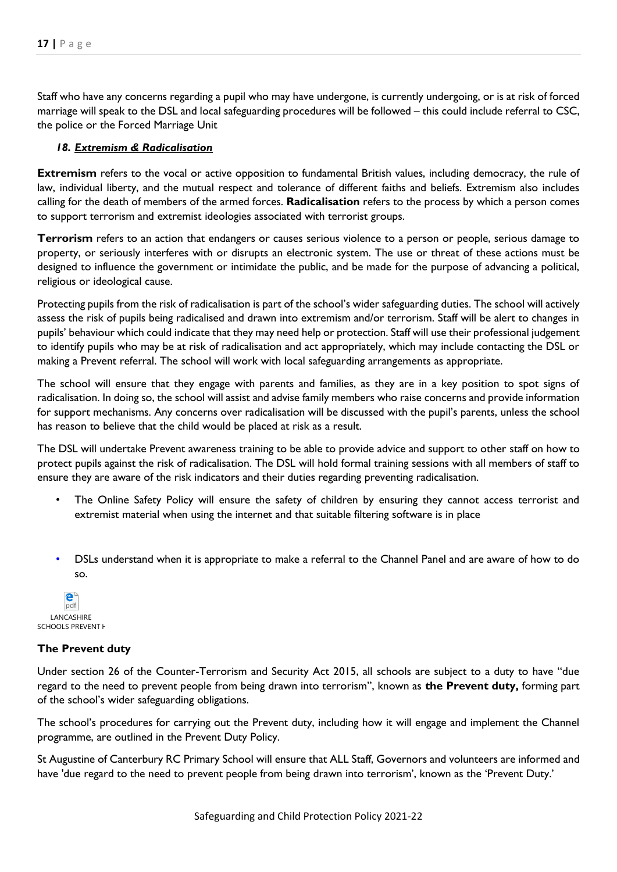Staff who have any concerns regarding a pupil who may have undergone, is currently undergoing, or is at risk of forced marriage will speak to the DSL and local safeguarding procedures will be followed – this could include referral to CSC, the police or the Forced Marriage Unit

#### *18. Extremism & Radicalisation*

**Extremism** refers to the vocal or active opposition to fundamental British values, including democracy, the rule of law, individual liberty, and the mutual respect and tolerance of different faiths and beliefs. Extremism also includes calling for the death of members of the armed forces. **Radicalisation** refers to the process by which a person comes to support terrorism and extremist ideologies associated with terrorist groups.

**Terrorism** refers to an action that endangers or causes serious violence to a person or people, serious damage to property, or seriously interferes with or disrupts an electronic system. The use or threat of these actions must be designed to influence the government or intimidate the public, and be made for the purpose of advancing a political, religious or ideological cause.

Protecting pupils from the risk of radicalisation is part of the school's wider safeguarding duties. The school will actively assess the risk of pupils being radicalised and drawn into extremism and/or terrorism. Staff will be alert to changes in pupils' behaviour which could indicate that they may need help or protection. Staff will use their professional judgement to identify pupils who may be at risk of radicalisation and act appropriately, which may include contacting the DSL or making a Prevent referral. The school will work with local safeguarding arrangements as appropriate.

The school will ensure that they engage with parents and families, as they are in a key position to spot signs of radicalisation. In doing so, the school will assist and advise family members who raise concerns and provide information for support mechanisms. Any concerns over radicalisation will be discussed with the pupil's parents, unless the school has reason to believe that the child would be placed at risk as a result.

The DSL will undertake Prevent awareness training to be able to provide advice and support to other staff on how to protect pupils against the risk of radicalisation. The DSL will hold formal training sessions with all members of staff to ensure they are aware of the risk indicators and their duties regarding preventing radicalisation.

- The Online Safety Policy will ensure the safety of children by ensuring they cannot access terrorist and extremist material when using the internet and that suitable filtering software is in place
- DSLs understand when it is appropriate to make a referral to the Channel Panel and are aware of how to do so.

pdf **LANCASHIRE** SCHOOLS PREVENT H

#### **The Prevent duty**

Under section 26 of the Counter-Terrorism and Security Act 2015, all schools are subject to a duty to have "due regard to the need to prevent people from being drawn into terrorism", known as **the Prevent duty,** forming part of the school's wider safeguarding obligations.

The school's procedures for carrying out the Prevent duty, including how it will engage and implement the Channel programme, are outlined in the Prevent Duty Policy.

St Augustine of Canterbury RC Primary School will ensure that ALL Staff, Governors and volunteers are informed and have 'due regard to the need to prevent people from being drawn into terrorism', known as the 'Prevent Duty.'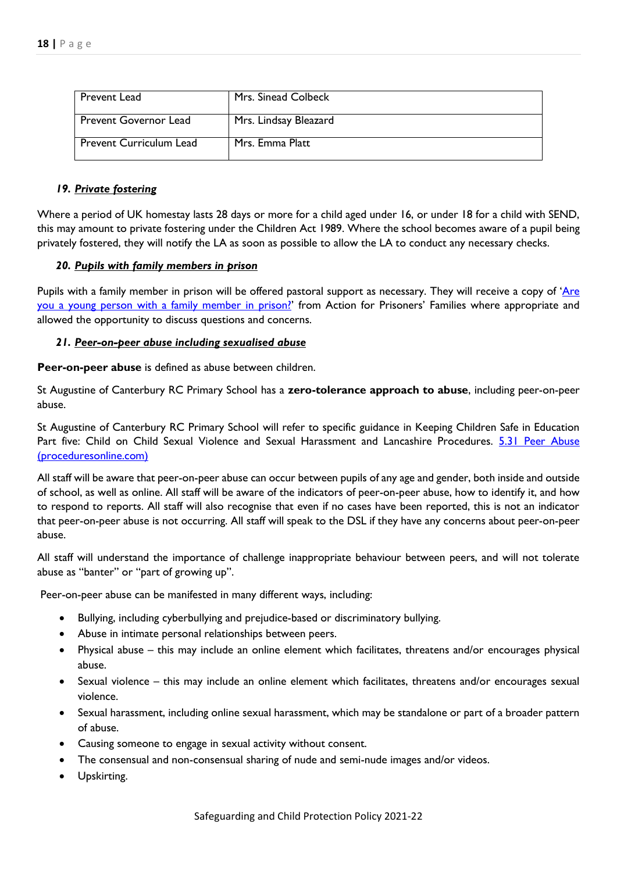| Prevent Lead                   | Mrs. Sinead Colbeck   |
|--------------------------------|-----------------------|
| <b>Prevent Governor Lead</b>   | Mrs. Lindsay Bleazard |
| <b>Prevent Curriculum Lead</b> | Mrs. Emma Platt       |

#### *19. Private fostering*

Where a period of UK homestay lasts 28 days or more for a child aged under 16, or under 18 for a child with SEND, this may amount to private fostering under the Children Act 1989. Where the school becomes aware of a pupil being privately fostered, they will notify the LA as soon as possible to allow the LA to conduct any necessary checks.

#### *20. Pupils with family members in prison*

Pupils with a family member in prison will be offered pastoral support as necessary. They will receive a copy of 'Are [you a young person with a family member in prison?](https://www.nicco.org.uk/directory-of-resources)' from Action for Prisoners' Families where appropriate and allowed the opportunity to discuss questions and concerns.

#### *21. Peer-on-peer abuse including sexualised abuse*

**Peer-on-peer abuse** is defined as abuse between children.

St Augustine of Canterbury RC Primary School has a **zero-tolerance approach to abuse**, including peer-on-peer abuse.

St Augustine of Canterbury RC Primary School will refer to specific guidance in Keeping Children Safe in Education Part five: Child on Child Sexual Violence and Sexual Harassment and Lancashire Procedures. 5.31 Peer Abuse [\(proceduresonline.com\)](https://panlancashirescb.proceduresonline.com/chapters/p_peer_abuse.html)

All staff will be aware that peer-on-peer abuse can occur between pupils of any age and gender, both inside and outside of school, as well as online. All staff will be aware of the indicators of peer-on-peer abuse, how to identify it, and how to respond to reports. All staff will also recognise that even if no cases have been reported, this is not an indicator that peer-on-peer abuse is not occurring. All staff will speak to the DSL if they have any concerns about peer-on-peer abuse.

All staff will understand the importance of challenge inappropriate behaviour between peers, and will not tolerate abuse as "banter" or "part of growing up".

Peer-on-peer abuse can be manifested in many different ways, including:

- Bullying, including cyberbullying and prejudice-based or discriminatory bullying.
- Abuse in intimate personal relationships between peers.
- Physical abuse this may include an online element which facilitates, threatens and/or encourages physical abuse.
- Sexual violence this may include an online element which facilitates, threatens and/or encourages sexual violence.
- Sexual harassment, including online sexual harassment, which may be standalone or part of a broader pattern of abuse.
- Causing someone to engage in sexual activity without consent.
- The consensual and non-consensual sharing of nude and semi-nude images and/or videos.
- Upskirting.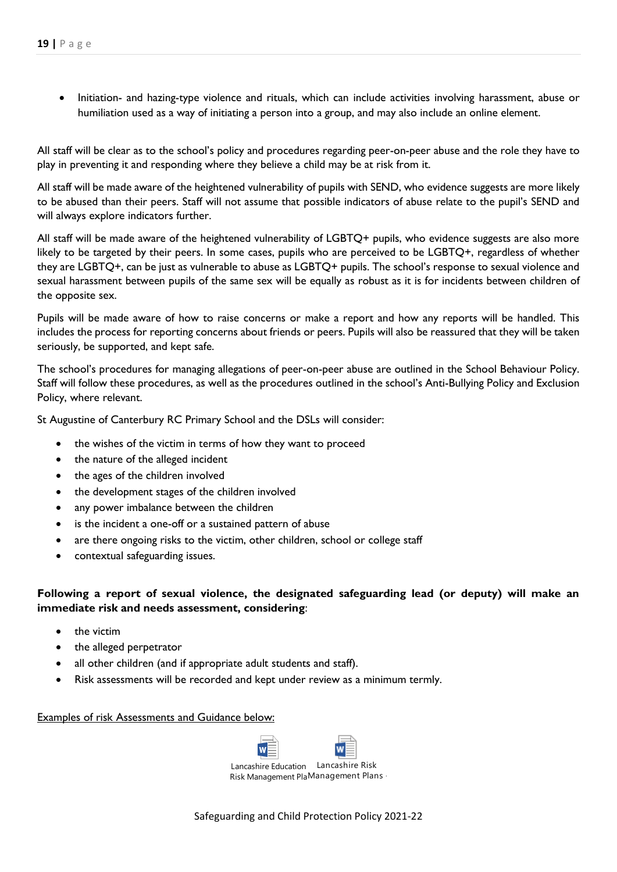• Initiation- and hazing-type violence and rituals, which can include activities involving harassment, abuse or humiliation used as a way of initiating a person into a group, and may also include an online element.

All staff will be clear as to the school's policy and procedures regarding peer-on-peer abuse and the role they have to play in preventing it and responding where they believe a child may be at risk from it.

All staff will be made aware of the heightened vulnerability of pupils with SEND, who evidence suggests are more likely to be abused than their peers. Staff will not assume that possible indicators of abuse relate to the pupil's SEND and will always explore indicators further.

All staff will be made aware of the heightened vulnerability of LGBTQ+ pupils, who evidence suggests are also more likely to be targeted by their peers. In some cases, pupils who are perceived to be LGBTQ+, regardless of whether they are LGBTQ+, can be just as vulnerable to abuse as LGBTQ+ pupils. The school's response to sexual violence and sexual harassment between pupils of the same sex will be equally as robust as it is for incidents between children of the opposite sex.

Pupils will be made aware of how to raise concerns or make a report and how any reports will be handled. This includes the process for reporting concerns about friends or peers. Pupils will also be reassured that they will be taken seriously, be supported, and kept safe.

The school's procedures for managing allegations of peer-on-peer abuse are outlined in the School Behaviour Policy. Staff will follow these procedures, as well as the procedures outlined in the school's Anti-Bullying Policy and Exclusion Policy, where relevant.

St Augustine of Canterbury RC Primary School and the DSLs will consider:

- the wishes of the victim in terms of how they want to proceed
- the nature of the alleged incident
- the ages of the children involved
- the development stages of the children involved
- any power imbalance between the children
- is the incident a one-off or a sustained pattern of abuse
- are there ongoing risks to the victim, other children, school or college staff
- contextual safeguarding issues.

## **Following a report of sexual violence, the designated safeguarding lead (or deputy) will make an immediate risk and needs assessment, considering**:

- the victim
- the alleged perpetrator
- all other children (and if appropriate adult students and staff).
- Risk assessments will be recorded and kept under review as a minimum termly.

#### Examples of risk Assessments and Guidance below:

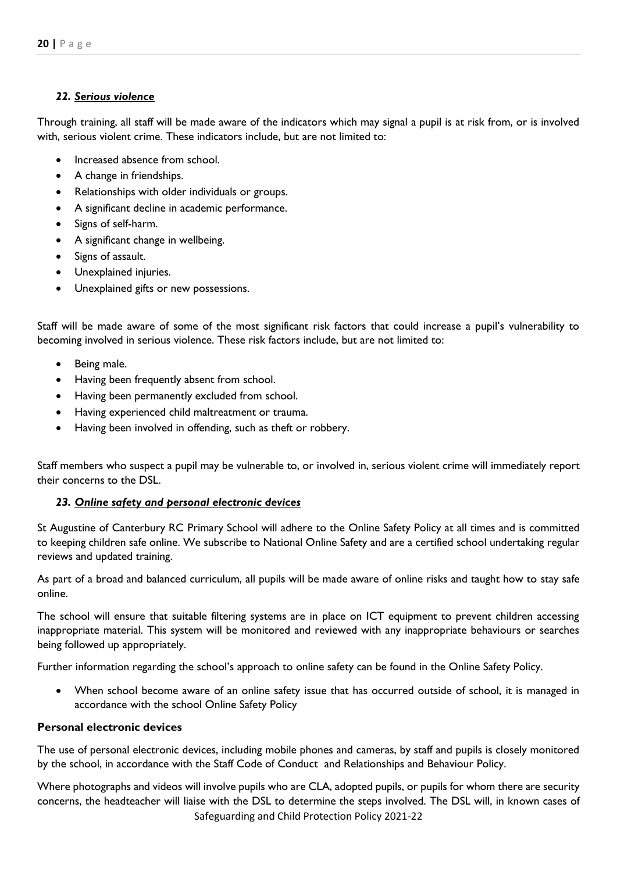## *22. Serious violence*

Through training, all staff will be made aware of the indicators which may signal a pupil is at risk from, or is involved with, serious violent crime. These indicators include, but are not limited to:

- Increased absence from school.
- A change in friendships.
- Relationships with older individuals or groups.
- A significant decline in academic performance.
- Signs of self-harm.
- A significant change in wellbeing.
- Signs of assault.
- Unexplained injuries.
- Unexplained gifts or new possessions.

Staff will be made aware of some of the most significant risk factors that could increase a pupil's vulnerability to becoming involved in serious violence. These risk factors include, but are not limited to:

- Being male.
- Having been frequently absent from school.
- Having been permanently excluded from school.
- Having experienced child maltreatment or trauma.
- Having been involved in offending, such as theft or robbery.

Staff members who suspect a pupil may be vulnerable to, or involved in, serious violent crime will immediately report their concerns to the DSL.

## *23. Online safety and personal electronic devices*

St Augustine of Canterbury RC Primary School will adhere to the Online Safety Policy at all times and is committed to keeping children safe online. We subscribe to National Online Safety and are a certified school undertaking regular reviews and updated training.

As part of a broad and balanced curriculum, all pupils will be made aware of online risks and taught how to stay safe online.

The school will ensure that suitable filtering systems are in place on ICT equipment to prevent children accessing inappropriate material. This system will be monitored and reviewed with any inappropriate behaviours or searches being followed up appropriately.

Further information regarding the school's approach to online safety can be found in the Online Safety Policy.

 When school become aware of an online safety issue that has occurred outside of school, it is managed in accordance with the school Online Safety Policy

## **Personal electronic devices**

The use of personal electronic devices, including mobile phones and cameras, by staff and pupils is closely monitored by the school, in accordance with the Staff Code of Conduct and Relationships and Behaviour Policy.

Safeguarding and Child Protection Policy 2021-22 Where photographs and videos will involve pupils who are CLA, adopted pupils, or pupils for whom there are security concerns, the headteacher will liaise with the DSL to determine the steps involved. The DSL will, in known cases of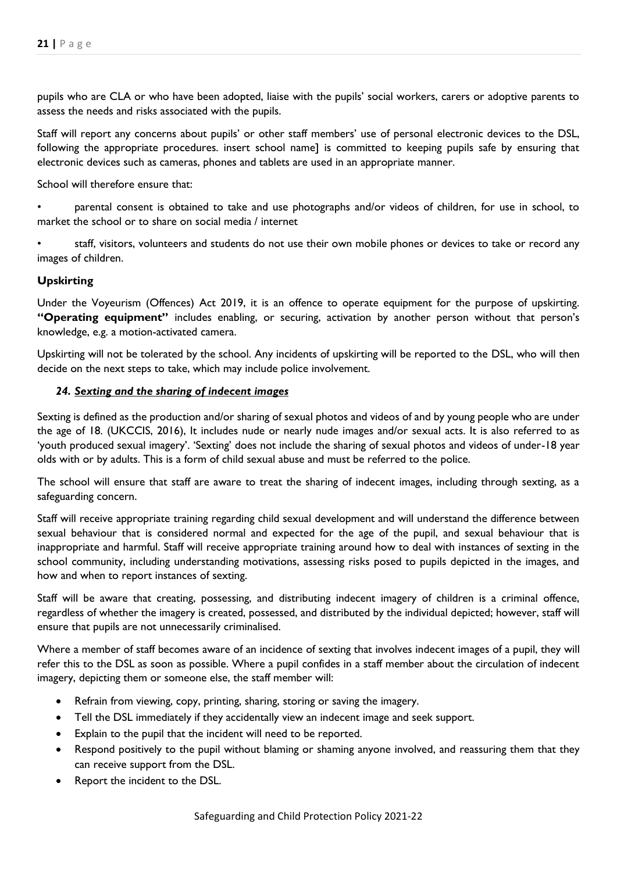pupils who are CLA or who have been adopted, liaise with the pupils' social workers, carers or adoptive parents to assess the needs and risks associated with the pupils.

Staff will report any concerns about pupils' or other staff members' use of personal electronic devices to the DSL, following the appropriate procedures. insert school name] is committed to keeping pupils safe by ensuring that electronic devices such as cameras, phones and tablets are used in an appropriate manner.

School will therefore ensure that:

• parental consent is obtained to take and use photographs and/or videos of children, for use in school, to market the school or to share on social media / internet

• staff, visitors, volunteers and students do not use their own mobile phones or devices to take or record any images of children.

## **Upskirting**

Under the Voyeurism (Offences) Act 2019, it is an offence to operate equipment for the purpose of upskirting. **"Operating equipment"** includes enabling, or securing, activation by another person without that person's knowledge, e.g. a motion-activated camera.

Upskirting will not be tolerated by the school. Any incidents of upskirting will be reported to the DSL, who will then decide on the next steps to take, which may include police involvement.

#### *24. Sexting and the sharing of indecent images*

Sexting is defined as the production and/or sharing of sexual photos and videos of and by young people who are under the age of 18. (UKCCIS, 2016), It includes nude or nearly nude images and/or sexual acts. It is also referred to as 'youth produced sexual imagery'. 'Sexting' does not include the sharing of sexual photos and videos of under-18 year olds with or by adults. This is a form of child sexual abuse and must be referred to the police.

The school will ensure that staff are aware to treat the sharing of indecent images, including through sexting, as a safeguarding concern.

Staff will receive appropriate training regarding child sexual development and will understand the difference between sexual behaviour that is considered normal and expected for the age of the pupil, and sexual behaviour that is inappropriate and harmful. Staff will receive appropriate training around how to deal with instances of sexting in the school community, including understanding motivations, assessing risks posed to pupils depicted in the images, and how and when to report instances of sexting.

Staff will be aware that creating, possessing, and distributing indecent imagery of children is a criminal offence, regardless of whether the imagery is created, possessed, and distributed by the individual depicted; however, staff will ensure that pupils are not unnecessarily criminalised.

Where a member of staff becomes aware of an incidence of sexting that involves indecent images of a pupil, they will refer this to the DSL as soon as possible. Where a pupil confides in a staff member about the circulation of indecent imagery, depicting them or someone else, the staff member will:

- Refrain from viewing, copy, printing, sharing, storing or saving the imagery.
- Tell the DSL immediately if they accidentally view an indecent image and seek support.
- Explain to the pupil that the incident will need to be reported.
- Respond positively to the pupil without blaming or shaming anyone involved, and reassuring them that they can receive support from the DSL.
- Report the incident to the DSL.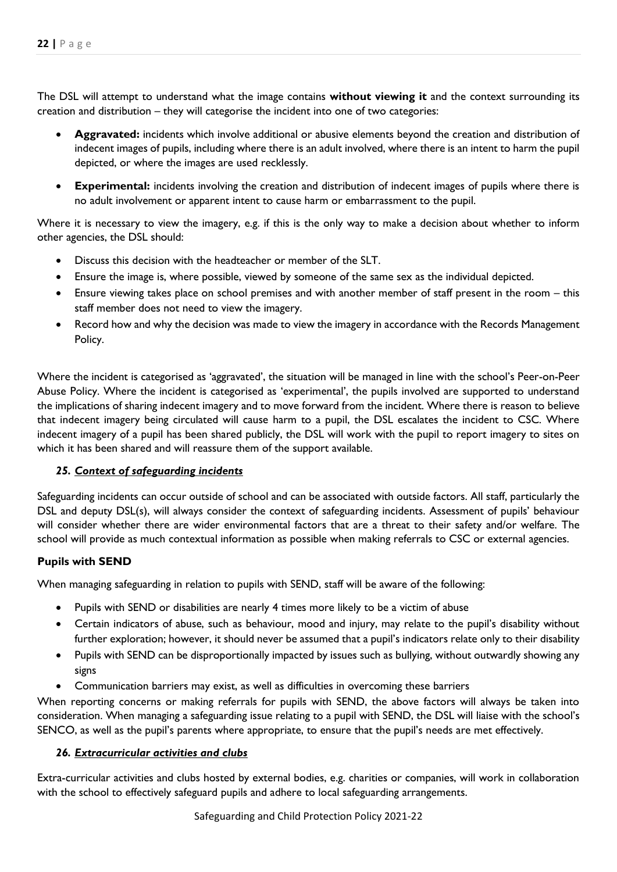The DSL will attempt to understand what the image contains **without viewing it** and the context surrounding its creation and distribution – they will categorise the incident into one of two categories:

- **Aggravated:** incidents which involve additional or abusive elements beyond the creation and distribution of indecent images of pupils, including where there is an adult involved, where there is an intent to harm the pupil depicted, or where the images are used recklessly.
- **Experimental:** incidents involving the creation and distribution of indecent images of pupils where there is no adult involvement or apparent intent to cause harm or embarrassment to the pupil.

Where it is necessary to view the imagery, e.g. if this is the only way to make a decision about whether to inform other agencies, the DSL should:

- Discuss this decision with the headteacher or member of the SLT.
- Ensure the image is, where possible, viewed by someone of the same sex as the individual depicted.
- Ensure viewing takes place on school premises and with another member of staff present in the room this staff member does not need to view the imagery.
- Record how and why the decision was made to view the imagery in accordance with the Records Management Policy.

Where the incident is categorised as 'aggravated', the situation will be managed in line with the school's Peer-on-Peer Abuse Policy. Where the incident is categorised as 'experimental', the pupils involved are supported to understand the implications of sharing indecent imagery and to move forward from the incident. Where there is reason to believe that indecent imagery being circulated will cause harm to a pupil, the DSL escalates the incident to CSC. Where indecent imagery of a pupil has been shared publicly, the DSL will work with the pupil to report imagery to sites on which it has been shared and will reassure them of the support available.

## *25. Context of safeguarding incidents*

Safeguarding incidents can occur outside of school and can be associated with outside factors. All staff, particularly the DSL and deputy DSL(s), will always consider the context of safeguarding incidents. Assessment of pupils' behaviour will consider whether there are wider environmental factors that are a threat to their safety and/or welfare. The school will provide as much contextual information as possible when making referrals to CSC or external agencies.

## **Pupils with SEND**

When managing safeguarding in relation to pupils with SEND, staff will be aware of the following:

- Pupils with SEND or disabilities are nearly 4 times more likely to be a victim of abuse
- Certain indicators of abuse, such as behaviour, mood and injury, may relate to the pupil's disability without further exploration; however, it should never be assumed that a pupil's indicators relate only to their disability
- Pupils with SEND can be disproportionally impacted by issues such as bullying, without outwardly showing any signs
- Communication barriers may exist, as well as difficulties in overcoming these barriers

When reporting concerns or making referrals for pupils with SEND, the above factors will always be taken into consideration. When managing a safeguarding issue relating to a pupil with SEND, the DSL will liaise with the school's SENCO, as well as the pupil's parents where appropriate, to ensure that the pupil's needs are met effectively.

#### *26. Extracurricular activities and clubs*

Extra-curricular activities and clubs hosted by external bodies, e.g. charities or companies, will work in collaboration with the school to effectively safeguard pupils and adhere to local safeguarding arrangements.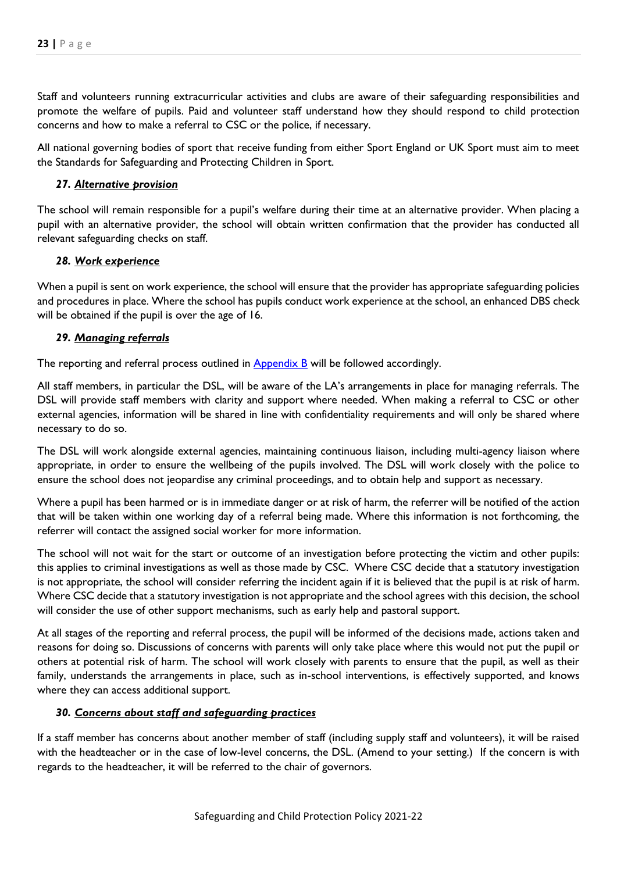Staff and volunteers running extracurricular activities and clubs are aware of their safeguarding responsibilities and promote the welfare of pupils. Paid and volunteer staff understand how they should respond to child protection concerns and how to make a referral to CSC or the police, if necessary.

All national governing bodies of sport that receive funding from either Sport England or UK Sport must aim to meet the Standards for Safeguarding and Protecting Children in Sport.

#### *27. Alternative provision*

The school will remain responsible for a pupil's welfare during their time at an alternative provider. When placing a pupil with an alternative provider, the school will obtain written confirmation that the provider has conducted all relevant safeguarding checks on staff.

#### *28. Work experience*

When a pupil is sent on work experience, the school will ensure that the provider has appropriate safeguarding policies and procedures in place. Where the school has pupils conduct work experience at the school, an enhanced DBS check will be obtained if the pupil is over the age of 16.

#### *29. Managing referrals*

The reporting and referral process outlined in Appendix B will be followed accordingly.

All staff members, in particular the DSL, will be aware of the LA's arrangements in place for managing referrals. The DSL will provide staff members with clarity and support where needed. When making a referral to CSC or other external agencies, information will be shared in line with confidentiality requirements and will only be shared where necessary to do so.

The DSL will work alongside external agencies, maintaining continuous liaison, including multi-agency liaison where appropriate, in order to ensure the wellbeing of the pupils involved. The DSL will work closely with the police to ensure the school does not jeopardise any criminal proceedings, and to obtain help and support as necessary.

Where a pupil has been harmed or is in immediate danger or at risk of harm, the referrer will be notified of the action that will be taken within one working day of a referral being made. Where this information is not forthcoming, the referrer will contact the assigned social worker for more information.

The school will not wait for the start or outcome of an investigation before protecting the victim and other pupils: this applies to criminal investigations as well as those made by CSC. Where CSC decide that a statutory investigation is not appropriate, the school will consider referring the incident again if it is believed that the pupil is at risk of harm. Where CSC decide that a statutory investigation is not appropriate and the school agrees with this decision, the school will consider the use of other support mechanisms, such as early help and pastoral support.

At all stages of the reporting and referral process, the pupil will be informed of the decisions made, actions taken and reasons for doing so. Discussions of concerns with parents will only take place where this would not put the pupil or others at potential risk of harm. The school will work closely with parents to ensure that the pupil, as well as their family, understands the arrangements in place, such as in-school interventions, is effectively supported, and knows where they can access additional support.

#### *30. Concerns about staff and safeguarding practices*

If a staff member has concerns about another member of staff (including supply staff and volunteers), it will be raised with the headteacher or in the case of low-level concerns, the DSL. (Amend to your setting.) If the concern is with regards to the headteacher, it will be referred to the chair of governors.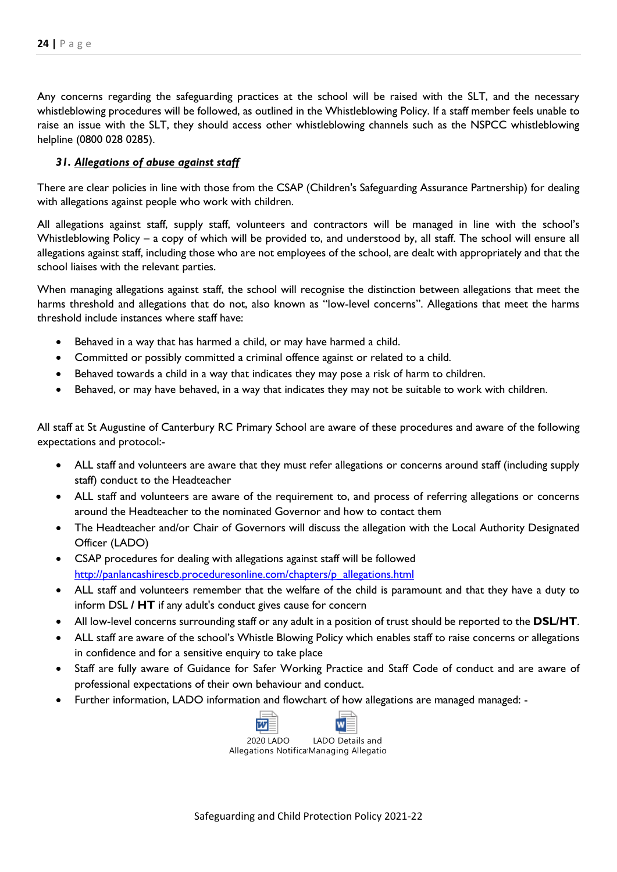Any concerns regarding the safeguarding practices at the school will be raised with the SLT, and the necessary whistleblowing procedures will be followed, as outlined in the Whistleblowing Policy. If a staff member feels unable to raise an issue with the SLT, they should access other whistleblowing channels such as the NSPCC whistleblowing helpline (0800 028 0285).

## *31. Allegations of abuse against staff*

There are clear policies in line with those from the CSAP (Children's Safeguarding Assurance Partnership) for dealing with allegations against people who work with children.

All allegations against staff, supply staff, volunteers and contractors will be managed in line with the school's Whistleblowing Policy – a copy of which will be provided to, and understood by, all staff. The school will ensure all allegations against staff, including those who are not employees of the school, are dealt with appropriately and that the school liaises with the relevant parties.

When managing allegations against staff, the school will recognise the distinction between allegations that meet the harms threshold and allegations that do not, also known as "low-level concerns". Allegations that meet the harms threshold include instances where staff have:

- Behaved in a way that has harmed a child, or may have harmed a child.
- Committed or possibly committed a criminal offence against or related to a child.
- Behaved towards a child in a way that indicates they may pose a risk of harm to children.
- Behaved, or may have behaved, in a way that indicates they may not be suitable to work with children.

All staff at St Augustine of Canterbury RC Primary School are aware of these procedures and aware of the following expectations and protocol:-

- ALL staff and volunteers are aware that they must refer allegations or concerns around staff (including supply staff) conduct to the Headteacher
- ALL staff and volunteers are aware of the requirement to, and process of referring allegations or concerns around the Headteacher to the nominated Governor and how to contact them
- The Headteacher and/or Chair of Governors will discuss the allegation with the Local Authority Designated Officer (LADO)
- CSAP procedures for dealing with allegations against staff will be followed [http://panlancashirescb.proceduresonline.com/chapters/p\\_allegations.html](http://panlancashirescb.proceduresonline.com/chapters/p_allegations.html)
- ALL staff and volunteers remember that the welfare of the child is paramount and that they have a duty to inform DSL **/ HT** if any adult's conduct gives cause for concern
- All low-level concerns surrounding staff or any adult in a position of trust should be reported to the **DSL/HT**.
- ALL staff are aware of the school's Whistle Blowing Policy which enables staff to raise concerns or allegations in confidence and for a sensitive enquiry to take place
- Staff are fully aware of Guidance for Safer Working Practice and Staff Code of conduct and are aware of professional expectations of their own behaviour and conduct.
- Further information, LADO information and flowchart of how allegations are managed managed: -

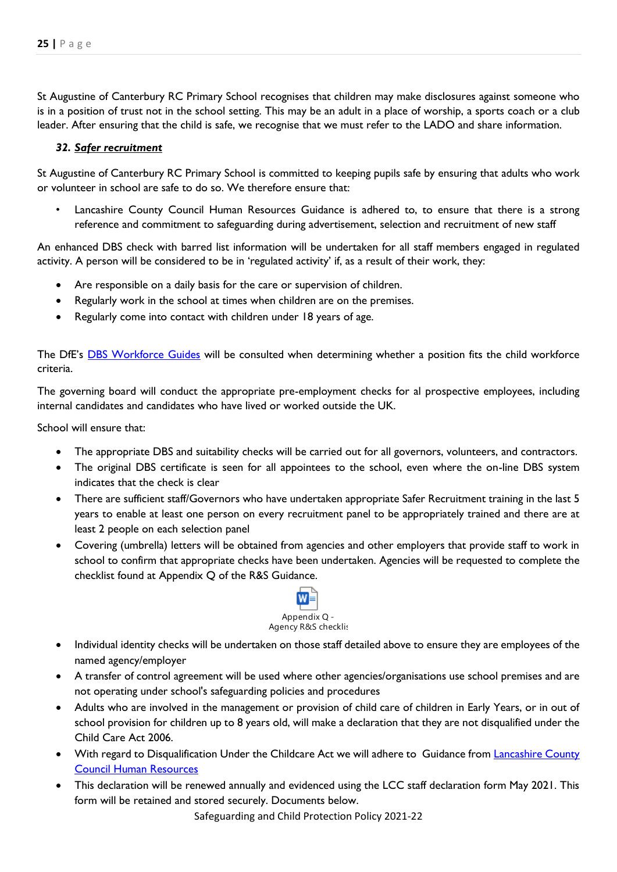St Augustine of Canterbury RC Primary School recognises that children may make disclosures against someone who is in a position of trust not in the school setting. This may be an adult in a place of worship, a sports coach or a club leader. After ensuring that the child is safe, we recognise that we must refer to the LADO and share information.

#### *32. Safer recruitment*

St Augustine of Canterbury RC Primary School is committed to keeping pupils safe by ensuring that adults who work or volunteer in school are safe to do so. We therefore ensure that:

Lancashire County Council Human Resources Guidance is adhered to, to ensure that there is a strong reference and commitment to safeguarding during advertisement, selection and recruitment of new staff

An enhanced DBS check with barred list information will be undertaken for all staff members engaged in regulated activity. A person will be considered to be in 'regulated activity' if, as a result of their work, they:

- Are responsible on a daily basis for the care or supervision of children.
- Regularly work in the school at times when children are on the premises.
- Regularly come into contact with children under 18 years of age.

The DfE's [DBS Workforce Guides](https://www.gov.uk/government/publications/dbs-workforce-guidance) will be consulted when determining whether a position fits the child workforce criteria.

The governing board will conduct the appropriate pre-employment checks for al prospective employees, including internal candidates and candidates who have lived or worked outside the UK.

School will ensure that:

- The appropriate DBS and suitability checks will be carried out for all governors, volunteers, and contractors.
- The original DBS certificate is seen for all appointees to the school, even where the on-line DBS system indicates that the check is clear
- There are sufficient staff/Governors who have undertaken appropriate Safer Recruitment training in the last 5 years to enable at least one person on every recruitment panel to be appropriately trained and there are at least 2 people on each selection panel
- Covering (umbrella) letters will be obtained from agencies and other employers that provide staff to work in school to confirm that appropriate checks have been undertaken. Agencies will be requested to complete the checklist found at Appendix Q of the R&S Guidance.



- Individual identity checks will be undertaken on those staff detailed above to ensure they are employees of the named agency/employer
- A transfer of control agreement will be used where other agencies/organisations use school premises and are not operating under school's safeguarding policies and procedures
- Adults who are involved in the management or provision of child care of children in Early Years, or in out of school provision for children up to 8 years old, will make a declaration that they are not disqualified under the Child Care Act 2006.
- With regard to Disqualification Under the Childcare Act we will adhere to Guidance from [Lancashire County](file://///CorpData01/LCCUsers4$/vwallace001/My%20Documents/For%20portal/•%09https:/schoolsportal.lancsngfl.ac.uk/view_sp.asp%3fsiteid=4311&pageid=45826&e=e)  [Council Human Resources](file://///CorpData01/LCCUsers4$/vwallace001/My%20Documents/For%20portal/•%09https:/schoolsportal.lancsngfl.ac.uk/view_sp.asp%3fsiteid=4311&pageid=45826&e=e)
- This declaration will be renewed annually and evidenced using the LCC staff declaration form May 2021. This form will be retained and stored securely. Documents below.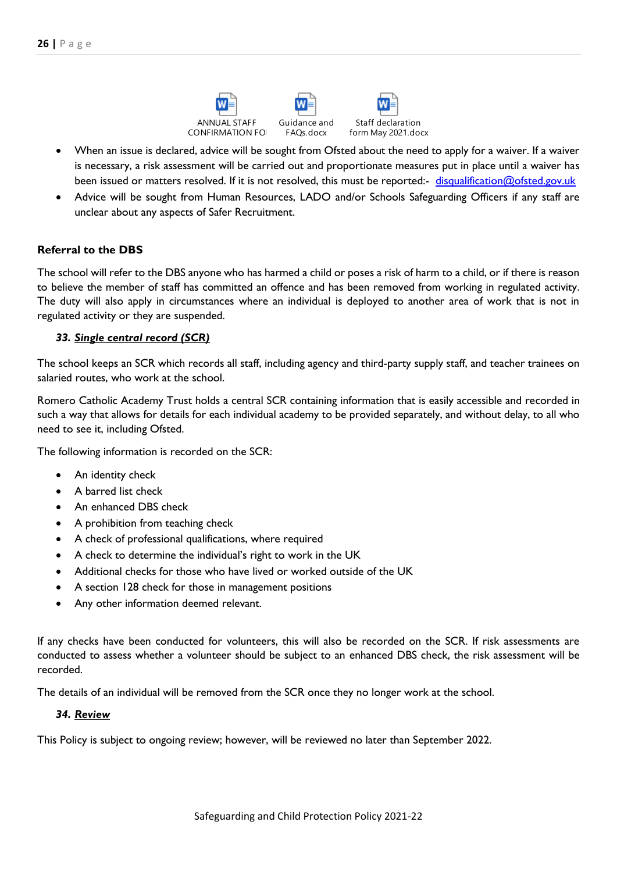



Staff declaration form May 2021.docx

- When an issue is declared, advice will be sought from Ofsted about the need to apply for a waiver. If a waiver is necessary, a risk assessment will be carried out and proportionate measures put in place until a waiver has been issued or matters resolved. If it is not resolved, this must be reported:- [disqualification@ofsted.gov.uk](mailto:disqualification@ofsted.gov.uk)
- Advice will be sought from Human Resources, LADO and/or Schools Safeguarding Officers if any staff are unclear about any aspects of Safer Recruitment.

## **Referral to the DBS**

The school will refer to the DBS anyone who has harmed a child or poses a risk of harm to a child, or if there is reason to believe the member of staff has committed an offence and has been removed from working in regulated activity. The duty will also apply in circumstances where an individual is deployed to another area of work that is not in regulated activity or they are suspended.

## *33. Single central record (SCR)*

The school keeps an SCR which records all staff, including agency and third-party supply staff, and teacher trainees on salaried routes, who work at the school.

Romero Catholic Academy Trust holds a central SCR containing information that is easily accessible and recorded in such a way that allows for details for each individual academy to be provided separately, and without delay, to all who need to see it, including Ofsted.

The following information is recorded on the SCR:

- An identity check
- A barred list check
- An enhanced DBS check
- A prohibition from teaching check
- A check of professional qualifications, where required
- A check to determine the individual's right to work in the UK
- Additional checks for those who have lived or worked outside of the UK
- A section 128 check for those in management positions
- Any other information deemed relevant.

If any checks have been conducted for volunteers, this will also be recorded on the SCR. If risk assessments are conducted to assess whether a volunteer should be subject to an enhanced DBS check, the risk assessment will be recorded.

The details of an individual will be removed from the SCR once they no longer work at the school.

#### *34. Review*

This Policy is subject to ongoing review; however, will be reviewed no later than September 2022.